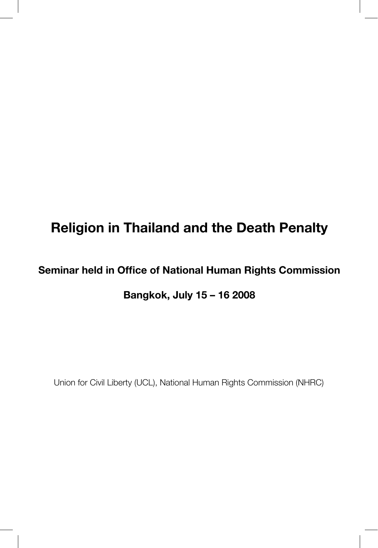# **Religion in Thailand and the Death Penalty**

# **Seminar held in Office of National Human Rights Commission**

# **Bangkok, July 15 – 16 2008**

Union for Civil Liberty (UCL), National Human Rights Commission (NHRC)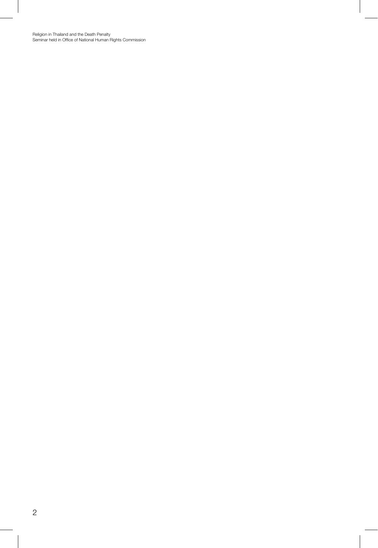Religion in Thailand and the Death Penalty Seminar held in Office of National Human Rights Commission

I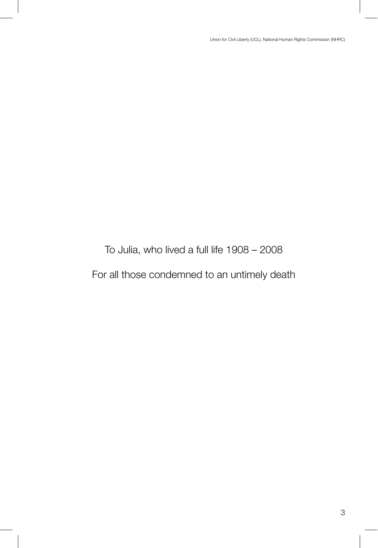To Julia, who lived a full life 1908 – 2008

For all those condemned to an untimely death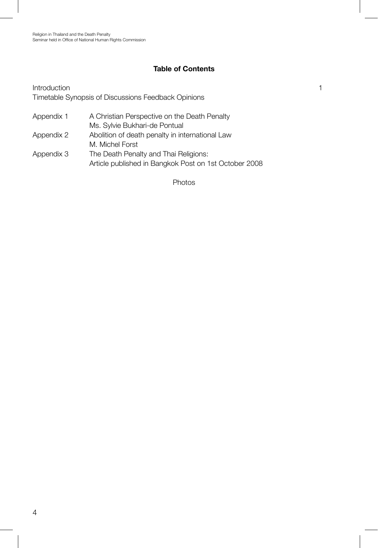### **Table of Contents**

Introduction 1 Timetable Synopsis of Discussions Feedback Opinions

Appendix 1 A Christian Perspective on the Death Penalty Ms. Sylvie Bukhari-de Pontual Appendix 2 Abolition of death penalty in international Law M. Michel Forst Appendix 3 The Death Penalty and Thai Religions:

Article published in Bangkok Post on 1st October 2008

Photos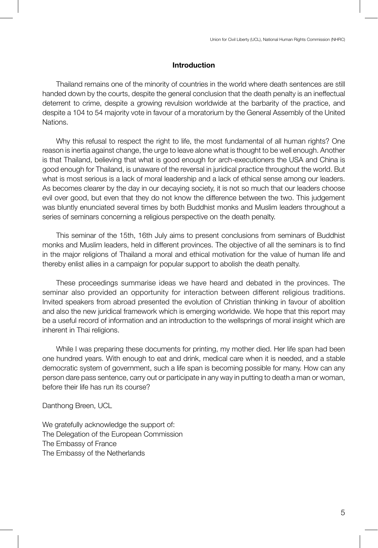### **Introduction**

Thailand remains one of the minority of countries in the world where death sentences are still handed down by the courts, despite the general conclusion that the death penalty is an ineffectual deterrent to crime, despite a growing revulsion worldwide at the barbarity of the practice, and despite a 104 to 54 majority vote in favour of a moratorium by the General Assembly of the United Nations.

Why this refusal to respect the right to life, the most fundamental of all human rights? One reason is inertia against change, the urge to leave alone what is thought to be well enough. Another is that Thailand, believing that what is good enough for arch-executioners the USA and China is good enough for Thailand, is unaware of the reversal in juridical practice throughout the world. But what is most serious is a lack of moral leadership and a lack of ethical sense among our leaders. As becomes clearer by the day in our decaying society, it is not so much that our leaders choose evil over good, but even that they do not know the difference between the two. This judgement was bluntly enunciated several times by both Buddhist monks and Muslim leaders throughout a series of seminars concerning a religious perspective on the death penalty.

This seminar of the 15th, 16th July aims to present conclusions from seminars of Buddhist monks and Muslim leaders, held in different provinces. The objective of all the seminars is to find in the major religions of Thailand a moral and ethical motivation for the value of human life and thereby enlist allies in a campaign for popular support to abolish the death penalty.

These proceedings summarise ideas we have heard and debated in the provinces. The seminar also provided an opportunity for interaction between different religious traditions. Invited speakers from abroad presented the evolution of Christian thinking in favour of abolition and also the new juridical framework which is emerging worldwide. We hope that this report may be a useful record of information and an introduction to the wellsprings of moral insight which are inherent in Thai religions.

While I was preparing these documents for printing, my mother died. Her life span had been one hundred years. With enough to eat and drink, medical care when it is needed, and a stable democratic system of government, such a life span is becoming possible for many. How can any person dare pass sentence, carry out or participate in any way in putting to death a man or woman, before their life has run its course?

Danthong Breen, UCL

We gratefully acknowledge the support of: The Delegation of the European Commission The Embassy of France The Embassy of the Netherlands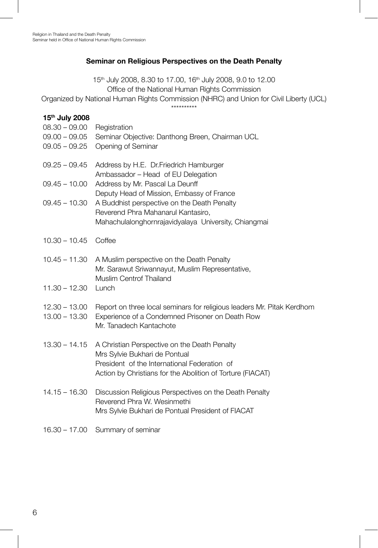### **Seminar on Religious Perspectives on the Death Penalty**

15<sup>th</sup> July 2008, 8.30 to 17.00, 16<sup>th</sup> July 2008, 9.0 to 12.00 Office of the National Human Rights Commission

Organized by National Human Rights Commission (NHRC) and Union for Civil Liberty (UCL)

\*\*\*\*\*\*\*\*\*\*

### **15th July 2008**

| $08.30 - 09.00$ | Registration                                                                                 |
|-----------------|----------------------------------------------------------------------------------------------|
| $09.00 - 09.05$ | Seminar Objective: Danthong Breen, Chairman UCL                                              |
| $09.05 - 09.25$ | Opening of Seminar                                                                           |
|                 |                                                                                              |
| $09.25 - 09.45$ | Address by H.E. Dr. Friedrich Hamburger                                                      |
|                 | Ambassador - Head of EU Delegation                                                           |
| $09.45 - 10.00$ | Address by Mr. Pascal La Deunff<br>Deputy Head of Mission, Embassy of France                 |
| $09.45 - 10.30$ | A Buddhist perspective on the Death Penalty                                                  |
|                 | Reverend Phra Mahanarul Kantasiro,                                                           |
|                 | Mahachulalonghornrajavidyalaya University, Chiangmai                                         |
|                 |                                                                                              |
| $10.30 - 10.45$ | Coffee                                                                                       |
|                 |                                                                                              |
| $10.45 - 11.30$ | A Muslim perspective on the Death Penalty<br>Mr. Sarawut Sriwannayut, Muslim Representative, |
|                 | Muslim Centrof Thailand                                                                      |
| $11.30 - 12.30$ | Lunch                                                                                        |
|                 |                                                                                              |
| $12.30 - 13.00$ | Report on three local seminars for religious leaders Mr. Pitak Kerdhom                       |
| $13.00 - 13.30$ | Experience of a Condemned Prisoner on Death Row                                              |
|                 | Mr. Tanadech Kantachote                                                                      |
| $13.30 - 14.15$ | A Christian Perspective on the Death Penalty                                                 |
|                 | Mrs Sylvie Bukhari de Pontual                                                                |
|                 | President of the International Federation of                                                 |
|                 | Action by Christians for the Abolition of Torture (FIACAT)                                   |
|                 |                                                                                              |
| $14.15 - 16.30$ | Discussion Religious Perspectives on the Death Penalty<br>Reverend Phra W. Wesinmethi        |
|                 | Mrs Sylvie Bukhari de Pontual President of FIACAT                                            |
|                 |                                                                                              |
| $16.30 - 17.00$ | Summary of seminar                                                                           |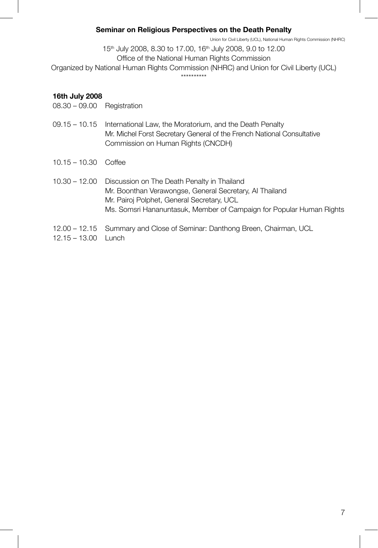#### **Seminar on Religious Perspectives on the Death Penalty**

Union for Civil Liberty (UCL), National Human Rights Commission (NHRC)

15th July 2008, 8.30 to 17.00, 16th July 2008, 9.0 to 12.00 Office of the National Human Rights Commission

Organized by National Human Rights Commission (NHRC) and Union for Civil Liberty (UCL) \*\*\*\*\*\*\*\*\*\*

#### **16th July 2008**

08.30 – 09.00 Registration

- 09.15 10.15 International Law, the Moratorium, and the Death Penalty Mr. Michel Forst Secretary General of the French National Consultative Commission on Human Rights (CNCDH)
- 10.15 10.30 Coffee
- 10.30 12.00 Discussion on The Death Penalty in Thailand Mr. Boonthan Verawongse, General Secretary, AI Thailand Mr. Pairoj Polphet, General Secretary, UCL Ms. Somsri Hananuntasuk, Member of Campaign for Popular Human Rights
- 12.00 12.15 Summary and Close of Seminar: Danthong Breen, Chairman, UCL
- 12.15 13.00 Lunch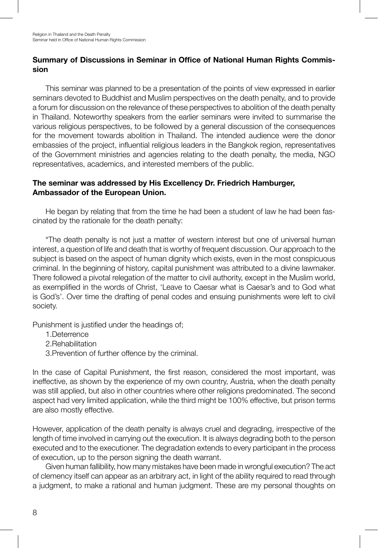### **Summary of Discussions in Seminar in Office of National Human Rights Commission**

This seminar was planned to be a presentation of the points of view expressed in earlier seminars devoted to Buddhist and Muslim perspectives on the death penalty, and to provide a forum for discussion on the relevance of these perspectives to abolition of the death penalty in Thailand. Noteworthy speakers from the earlier seminars were invited to summarise the various religious perspectives, to be followed by a general discussion of the consequences for the movement towards abolition in Thailand. The intended audience were the donor embassies of the project, influential religious leaders in the Bangkok region, representatives of the Government ministries and agencies relating to the death penalty, the media, NGO representatives, academics, and interested members of the public.

# **The seminar was addressed by His Excellency Dr. Friedrich Hamburger, Ambassador of the European Union.**

He began by relating that from the time he had been a student of law he had been fascinated by the rationale for the death penalty:

"The death penalty is not just a matter of western interest but one of universal human interest, a question of life and death that is worthy of frequent discussion. Our approach to the subject is based on the aspect of human dignity which exists, even in the most conspicuous criminal. In the beginning of history, capital punishment was attributed to a divine lawmaker. There followed a pivotal relegation of the matter to civil authority, except in the Muslim world, as exemplified in the words of Christ, 'Leave to Caesar what is Caesar's and to God what is God's'. Over time the drafting of penal codes and ensuing punishments were left to civil society.

Punishment is justified under the headings of;

- 1.Deterrence
- 2.Rehabilitation
- 3.Prevention of further offence by the criminal.

In the case of Capital Punishment, the first reason, considered the most important, was ineffective, as shown by the experience of my own country, Austria, when the death penalty was still applied, but also in other countries where other religions predominated. The second aspect had very limited application, while the third might be 100% effective, but prison terms are also mostly effective.

However, application of the death penalty is always cruel and degrading, irrespective of the length of time involved in carrying out the execution. It is always degrading both to the person executed and to the executioner. The degradation extends to every participant in the process of execution, up to the person signing the death warrant.

Given human fallibility, how many mistakes have been made in wrongful execution? The act of clemency itself can appear as an arbitrary act, in light of the ability required to read through a judgment, to make a rational and human judgment. These are my personal thoughts on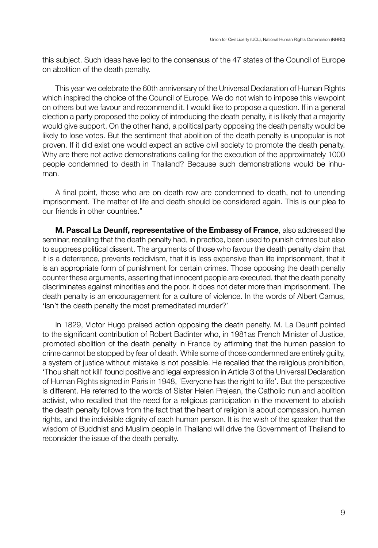this subject. Such ideas have led to the consensus of the 47 states of the Council of Europe on abolition of the death penalty.

This year we celebrate the 60th anniversary of the Universal Declaration of Human Rights which inspired the choice of the Council of Europe. We do not wish to impose this viewpoint on others but we favour and recommend it. I would like to propose a question. If in a general election a party proposed the policy of introducing the death penalty, it is likely that a majority would give support. On the other hand, a political party opposing the death penalty would be likely to lose votes. But the sentiment that abolition of the death penalty is unpopular is not proven. If it did exist one would expect an active civil society to promote the death penalty. Why are there not active demonstrations calling for the execution of the approximately 1000 people condemned to death in Thailand? Because such demonstrations would be inhuman.

A final point, those who are on death row are condemned to death, not to unending imprisonment. The matter of life and death should be considered again. This is our plea to our friends in other countries."

**M. Pascal La Deunff, representative of the Embassy of France**, also addressed the seminar, recalling that the death penalty had, in practice, been used to punish crimes but also to suppress political dissent. The arguments of those who favour the death penalty claim that it is a deterrence, prevents recidivism, that it is less expensive than life imprisonment, that it is an appropriate form of punishment for certain crimes. Those opposing the death penalty counter these arguments, asserting that innocent people are executed, that the death penalty discriminates against minorities and the poor. It does not deter more than imprisonment. The death penalty is an encouragement for a culture of violence. In the words of Albert Camus, 'Isn't the death penalty the most premeditated murder?'

In 1829, Victor Hugo praised action opposing the death penalty. M. La Deunff pointed to the significant contribution of Robert Badinter who, in 1981as French Minister of Justice, promoted abolition of the death penalty in France by affirming that the human passion to crime cannot be stopped by fear of death. While some of those condemned are entirely guilty, a system of justice without mistake is not possible. He recalled that the religious prohibition, 'Thou shalt not kill' found positive and legal expression in Article 3 of the Universal Declaration of Human Rights signed in Paris in 1948, 'Everyone has the right to life'. But the perspective is different. He referred to the words of Sister Helen Prejean, the Catholic nun and abolition activist, who recalled that the need for a religious participation in the movement to abolish the death penalty follows from the fact that the heart of religion is about compassion, human rights, and the indivisible dignity of each human person. It is the wish of the speaker that the wisdom of Buddhist and Muslim people in Thailand will drive the Government of Thailand to reconsider the issue of the death penalty.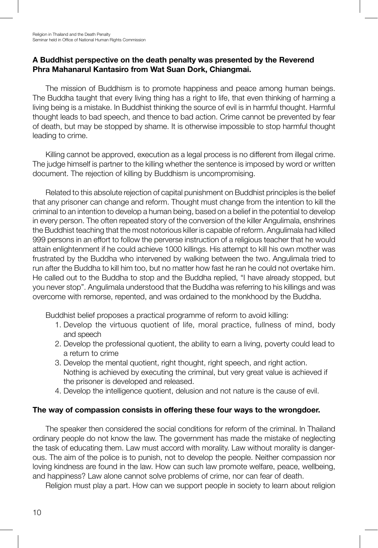Religion in Thailand and the Death Penalty Seminar held in Office of National Human Rights Commission

### **A Buddhist perspective on the death penalty was presented by the Reverend Phra Mahanarul Kantasiro from Wat Suan Dork, Chiangmai.**

The mission of Buddhism is to promote happiness and peace among human beings. The Buddha taught that every living thing has a right to life, that even thinking of harming a living being is a mistake. In Buddhist thinking the source of evil is in harmful thought. Harmful thought leads to bad speech, and thence to bad action. Crime cannot be prevented by fear of death, but may be stopped by shame. It is otherwise impossible to stop harmful thought leading to crime.

Killing cannot be approved, execution as a legal process is no different from illegal crime. The judge himself is partner to the killing whether the sentence is imposed by word or written document. The rejection of killing by Buddhism is uncompromising.

Related to this absolute rejection of capital punishment on Buddhist principles is the belief that any prisoner can change and reform. Thought must change from the intention to kill the criminal to an intention to develop a human being, based on a belief in the potential to develop in every person. The often repeated story of the conversion of the killer Angulimala, enshrines the Buddhist teaching that the most notorious killer is capable of reform. Angulimala had killed 999 persons in an effort to follow the perverse instruction of a religious teacher that he would attain enlightenment if he could achieve 1000 killings. His attempt to kill his own mother was frustrated by the Buddha who intervened by walking between the two. Angulimala tried to run after the Buddha to kill him too, but no matter how fast he ran he could not overtake him. He called out to the Buddha to stop and the Buddha replied, "I have already stopped, but you never stop". Angulimala understood that the Buddha was referring to his killings and was overcome with remorse, repented, and was ordained to the monkhood by the Buddha.

Buddhist belief proposes a practical programme of reform to avoid killing:

- 1. Develop the virtuous quotient of life, moral practice, fullness of mind, body and speech
- 2. Develop the professional quotient, the ability to earn a living, poverty could lead to a return to crime
- 3. Develop the mental quotient, right thought, right speech, and right action. Nothing is achieved by executing the criminal, but very great value is achieved if the prisoner is developed and released.
- 4. Develop the intelligence quotient, delusion and not nature is the cause of evil.

### **The way of compassion consists in offering these four ways to the wrongdoer.**

The speaker then considered the social conditions for reform of the criminal. In Thailand ordinary people do not know the law. The government has made the mistake of neglecting the task of educating them. Law must accord with morality. Law without morality is dangerous. The aim of the police is to punish, not to develop the people. Neither compassion nor loving kindness are found in the law. How can such law promote welfare, peace, wellbeing, and happiness? Law alone cannot solve problems of crime, nor can fear of death.

Religion must play a part. How can we support people in society to learn about religion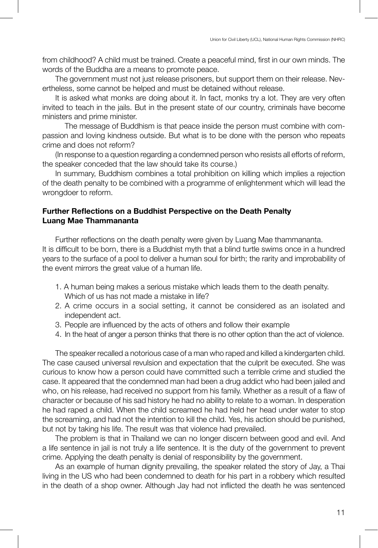from childhood? A child must be trained. Create a peaceful mind, first in our own minds. The words of the Buddha are a means to promote peace.

The government must not just release prisoners, but support them on their release. Nevertheless, some cannot be helped and must be detained without release.

It is asked what monks are doing about it. In fact, monks try a lot. They are very often invited to teach in the jails. But in the present state of our country, criminals have become ministers and prime minister.

The message of Buddhism is that peace inside the person must combine with compassion and loving kindness outside. But what is to be done with the person who repeats crime and does not reform?

(In response to a question regarding a condemned person who resists all efforts of reform, the speaker conceded that the law should take its course.)

In summary, Buddhism combines a total prohibition on killing which implies a rejection of the death penalty to be combined with a programme of enlightenment which will lead the wrongdoer to reform.

### **Further Reflections on a Buddhist Perspective on the Death Penalty Luang Mae Thammananta**

Further reflections on the death penalty were given by Luang Mae thammananta. It is difficult to be born, there is a Buddhist myth that a blind turtle swims once in a hundred years to the surface of a pool to deliver a human soul for birth; the rarity and improbability of the event mirrors the great value of a human life.

- 1. A human being makes a serious mistake which leads them to the death penalty. Which of us has not made a mistake in life?
- 2. A crime occurs in a social setting, it cannot be considered as an isolated and independent act.
- 3. People are influenced by the acts of others and follow their example
- 4. In the heat of anger a person thinks that there is no other option than the act of violence.

The speaker recalled a notorious case of a man who raped and killed a kindergarten child. The case caused universal revulsion and expectation that the culprit be executed. She was curious to know how a person could have committed such a terrible crime and studied the case. It appeared that the condemned man had been a drug addict who had been jailed and who, on his release, had received no support from his family. Whether as a result of a flaw of character or because of his sad history he had no ability to relate to a woman. In desperation he had raped a child. When the child screamed he had held her head under water to stop the screaming, and had not the intention to kill the child. Yes, his action should be punished, but not by taking his life. The result was that violence had prevailed.

The problem is that in Thailand we can no longer discern between good and evil. And a life sentence in jail is not truly a life sentence. It is the duty of the government to prevent crime. Applying the death penalty is denial of responsibility by the government.

As an example of human dignity prevailing, the speaker related the story of Jay, a Thai living in the US who had been condemned to death for his part in a robbery which resulted in the death of a shop owner. Although Jay had not inflicted the death he was sentenced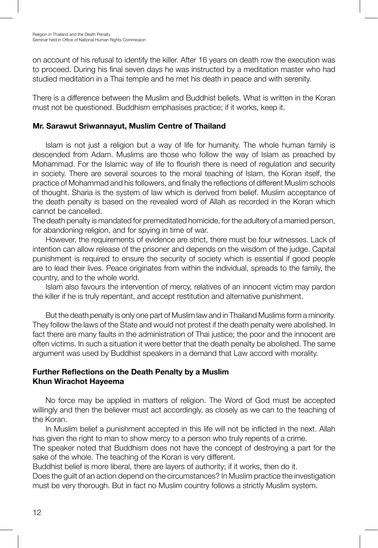on account of his refusal to identify the killer. After 16 years on death row the execution was to proceed. During his final seven days he was instructed by a meditation master who had studied meditation in a Thai temple and he met his death in peace and with serenity.

There is a difference between the Muslim and Buddhist beliefs. What is written in the Koran must not be questioned. Buddhism emphasises practice; if it works, keep it.

### **Mr. Sarawut Sriwannayut, Muslim Centre of Thailand**

Islam is not just a religion but a way of life for humanity. The whole human family is descended from Adam. Muslims are those who follow the way of Islam as preached by Mohammad. For the Islamic way of life to flourish there is need of regulation and security in society. There are several sources to the moral teaching of Islam, the Koran itself, the practice of Mohammad and his followers, and finally the reflections of different Muslim schools of thought. Sharia is the system of law which is derived from belief. Muslim acceptance of the death penalty is based on the revealed word of Allah as recorded in the Koran which cannot be cancelled.

The death penalty is mandated for premeditated homicide, for the adultery of a married person, for abandoning religion, and for spying in time of war.

However, the requirements of evidence are strict, there must be four witnesses. Lack of intention can allow release of the prisoner and depends on the wisdom of the judge. Capital punishment is required to ensure the security of society which is essential if good people are to lead their lives. Peace originates from within the individual, spreads to the family, the country, and to the whole world.

Islam also favours the intervention of mercy, relatives of an innocent victim may pardon the killer if he is truly repentant, and accept restitution and alternative punishment.

But the death penalty is only one part of Muslim law and in Thailand Muslims form a minority. They follow the laws of the State and would not protest if the death penalty were abolished. In fact there are many faults in the administration of Thai justice; the poor and the innocent are often victims. In such a situation it were better that the death penalty be abolished. The same argument was used by Buddhist speakers in a demand that Law accord with morality.

### **Further Reflections on the Death Penalty by a Muslim Khun Wirachot Hayeema**

No force may be applied in matters of religion. The Word of God must be accepted willingly and then the believer must act accordingly, as closely as we can to the teaching of the Koran.

In Muslim belief a punishment accepted in this life will not be inflicted in the next. Allah has given the right to man to show mercy to a person who truly repents of a crime.

The speaker noted that Buddhism does not have the concept of destroying a part for the sake of the whole. The teaching of the Koran is very different.

Buddhist belief is more liberal, there are layers of authority; if it works, then do it.

Does the guilt of an action depend on the circumstances? In Muslim practice the investigation must be very thorough. But in fact no Muslim country follows a strictly Muslim system.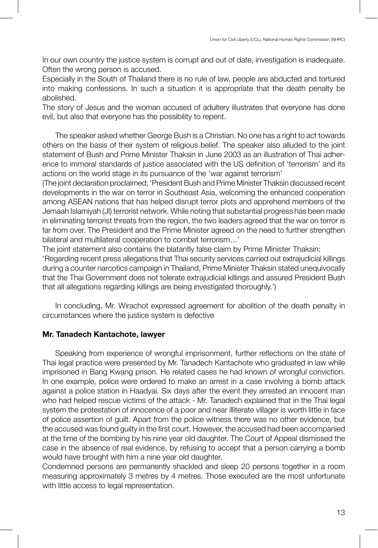In our own country the justice system is corrupt and out of date, investigation is inadequate. Often the wrong person is accused.

Especially in the South of Thailand there is no rule of law, people are abducted and tortured into making confessions. In such a situation it is appropriate that the death penalty be abolished.

The story of Jesus and the woman accused of adultery illustrates that everyone has done evil, but also that everyone has the possibility to repent.

The speaker asked whether George Bush is a Christian. No one has a right to act towards others on the basis of their system of religious belief. The speaker also alluded to the joint statement of Bush and Prime Minister Thaksin in June 2003 as an illustration of Thai adherence to immoral standards of justice associated with the US definition of 'terrorism' and its actions on the world stage in its pursuance of the 'war against terrorism'

(The joint declaration proclaimed; 'President Bush and Prime Minister Thaksin discussed recent developments in the war on terror in Southeast Asia, welcoming the enhanced cooperation among ASEAN nations that has helped disrupt terror plots and apprehend members of the Jemaah Islamiyah (JI) terrorist network. While noting that substantial progress has been made in eliminating terrorist threats from the region, the two leaders agreed that the war on terror is far from over. The President and the Prime Minister agreed on the need to further strengthen bilateral and multilateral cooperation to combat terrorism…'

The joint statement also contains the blatantly false claim by Prime Minister Thaksin:

'Regarding recent press allegations that Thai security services carried out extrajudicial killings during a counter narcotics campaign in Thailand, Prime Minister Thaksin stated unequivocally that the Thai Government does not tolerate extrajudicial killings and assured President Bush that all allegations regarding killings are being investigated thoroughly.')

In concluding, Mr. Wirachot expressed agreement for abolition of the death penalty in circumstances where the justice system is defective

#### **Mr. Tanadech Kantachote, lawyer**

Speaking from experience of wrongful imprisonment, further reflections on the state of Thai legal practice were presented by Mr. Tanadech Kantachote who graduated in law while imprisoned in Bang Kwang prison. He related cases he had known of wrongful conviction. In one example, police were ordered to make an arrest in a case involving a bomb attack against a police station in Haadyai. Six days after the event they arrested an innocent man who had helped rescue victims of the attack - Mr. Tanadech explained that in the Thai legal system the protestation of innocence of a poor and near illiterate villager is worth little in face of police assertion of guilt. Apart from the police witness there was no other evidence, but the accused was found guilty in the first court. However, the accused had been accompanied at the time of the bombing by his nine year old daughter. The Court of Appeal dismissed the case in the absence of real evidence, by refusing to accept that a person carrying a bomb would have brought with him a nine year old daughter.

Condemned persons are permanently shackled and sleep 20 persons together in a room measuring approximately 3 metres by 4 metres. Those executed are the most unfortunate with little access to legal representation.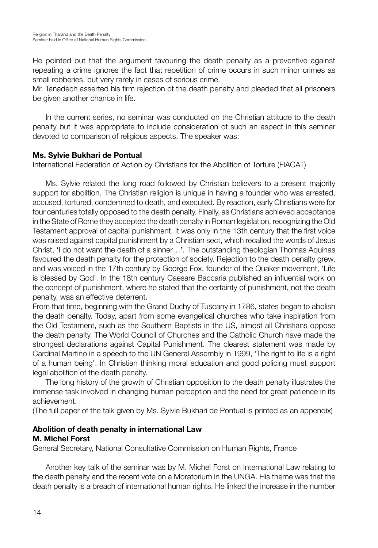He pointed out that the argument favouring the death penalty as a preventive against repeating a crime ignores the fact that repetition of crime occurs in such minor crimes as small robberies, but very rarely in cases of serious crime.

Mr. Tanadech asserted his firm rejection of the death penalty and pleaded that all prisoners be given another chance in life.

In the current series, no seminar was conducted on the Christian attitude to the death penalty but it was appropriate to include consideration of such an aspect in this seminar devoted to comparison of religious aspects. The speaker was:

### **Ms. Sylvie Bukhari de Pontual**

International Federation of Action by Christians for the Abolition of Torture (FIACAT)

Ms. Sylvie related the long road followed by Christian believers to a present majority support for abolition. The Christian religion is unique in having a founder who was arrested, accused, tortured, condemned to death, and executed. By reaction, early Christians were for four centuries totally opposed to the death penalty. Finally, as Christians achieved acceptance in the State of Rome they accepted the death penalty in Roman legislation, recognizing the Old Testament approval of capital punishment. It was only in the 13th century that the first voice was raised against capital punishment by a Christian sect, which recalled the words of Jesus Christ, 'I do not want the death of a sinner…'. The outstanding theologian Thomas Aquinas favoured the death penalty for the protection of society. Rejection to the death penalty grew, and was voiced in the 17th century by George Fox, founder of the Quaker movement, 'Life is blessed by God'. In the 18th century Caesare Baccaria published an influential work on the concept of punishment, where he stated that the certainty of punishment, not the death penalty, was an effective deterrent.

From that time, beginning with the Grand Duchy of Tuscany in 1786, states began to abolish the death penalty. Today, apart from some evangelical churches who take inspiration from the Old Testament, such as the Southern Baptists in the US, almost all Christians oppose the death penalty. The World Council of Churches and the Catholic Church have made the strongest declarations against Capital Punishment. The clearest statement was made by Cardinal Martino in a speech to the UN General Assembly in 1999, 'The right to life is a right of a human being'. In Christian thinking moral education and good policing must support legal abolition of the death penalty.

The long history of the growth of Christian opposition to the death penalty illustrates the immense task involved in changing human perception and the need for great patience in its achievement.

(The full paper of the talk given by Ms. Sylvie Bukhari de Pontual is printed as an appendix)

# **Abolition of death penalty in international Law M. Michel Forst**

General Secretary, National Consultative Commission on Human Rights, France

Another key talk of the seminar was by M. Michel Forst on International Law relating to the death penalty and the recent vote on a Moratorium in the UNGA. His theme was that the death penalty is a breach of international human rights. He linked the increase in the number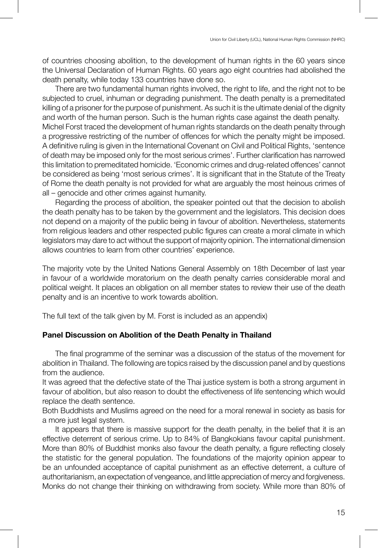of countries choosing abolition, to the development of human rights in the 60 years since the Universal Declaration of Human Rights. 60 years ago eight countries had abolished the death penalty, while today 133 countries have done so.

There are two fundamental human rights involved, the right to life, and the right not to be subjected to cruel, inhuman or degrading punishment. The death penalty is a premeditated killing of a prisoner for the purpose of punishment. As such it is the ultimate denial of the dignity and worth of the human person. Such is the human rights case against the death penalty. Michel Forst traced the development of human rights standards on the death penalty through a progressive restricting of the number of offences for which the penalty might be imposed. A definitive ruling is given in the International Covenant on Civil and Political Rights, 'sentence of death may be imposed only for the most serious crimes'. Further clarification has narrowed this limitation to premeditated homicide. 'Economic crimes and drug-related offences' cannot be considered as being 'most serious crimes'. It is significant that in the Statute of the Treaty of Rome the death penalty is not provided for what are arguably the most heinous crimes of all – genocide and other crimes against humanity.

Regarding the process of abolition, the speaker pointed out that the decision to abolish the death penalty has to be taken by the government and the legislators. This decision does not depend on a majority of the public being in favour of abolition. Nevertheless, statements from religious leaders and other respected public figures can create a moral climate in which legislators may dare to act without the support of majority opinion. The international dimension allows countries to learn from other countries' experience.

The majority vote by the United Nations General Assembly on 18th December of last year in favour of a worldwide moratorium on the death penalty carries considerable moral and political weight. It places an obligation on all member states to review their use of the death penalty and is an incentive to work towards abolition.

The full text of the talk given by M. Forst is included as an appendix)

### **Panel Discussion on Abolition of the Death Penalty in Thailand**

The final programme of the seminar was a discussion of the status of the movement for abolition in Thailand. The following are topics raised by the discussion panel and by questions from the audience.

It was agreed that the defective state of the Thai justice system is both a strong argument in favour of abolition, but also reason to doubt the effectiveness of life sentencing which would replace the death sentence.

Both Buddhists and Muslims agreed on the need for a moral renewal in society as basis for a more just legal system.

It appears that there is massive support for the death penalty, in the belief that it is an effective deterrent of serious crime. Up to 84% of Bangkokians favour capital punishment. More than 80% of Buddhist monks also favour the death penalty, a figure reflecting closely the statistic for the general population. The foundations of the majority opinion appear to be an unfounded acceptance of capital punishment as an effective deterrent, a culture of authoritarianism, an expectation of vengeance, and little appreciation of mercy and forgiveness. Monks do not change their thinking on withdrawing from society. While more than 80% of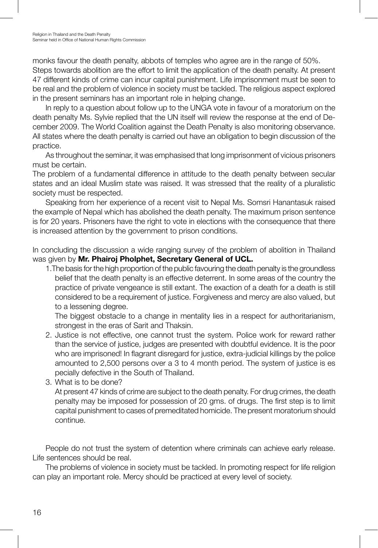monks favour the death penalty, abbots of temples who agree are in the range of 50%. Steps towards abolition are the effort to limit the application of the death penalty. At present 47 different kinds of crime can incur capital punishment. Life imprisonment must be seen to be real and the problem of violence in society must be tackled. The religious aspect explored in the present seminars has an important role in helping change.

In reply to a question about follow up to the UNGA vote in favour of a moratorium on the death penalty Ms. Sylvie replied that the UN itself will review the response at the end of December 2009. The World Coalition against the Death Penalty is also monitoring observance. All states where the death penalty is carried out have an obligation to begin discussion of the practice.

As throughout the seminar, it was emphasised that long imprisonment of vicious prisoners must be certain.

The problem of a fundamental difference in attitude to the death penalty between secular states and an ideal Muslim state was raised. It was stressed that the reality of a pluralistic society must be respected.

Speaking from her experience of a recent visit to Nepal Ms. Somsri Hanantasuk raised the example of Nepal which has abolished the death penalty. The maximum prison sentence is for 20 years. Prisoners have the right to vote in elections with the consequence that there is increased attention by the government to prison conditions.

In concluding the discussion a wide ranging survey of the problem of abolition in Thailand was given by **Mr. Phairoj Pholphet, Secretary General of UCL.**

1.The basis for the high proportion of the public favouring the death penalty is the groundless belief that the death penalty is an effective deterrent. In some areas of the country the practice of private vengeance is still extant. The exaction of a death for a death is still considered to be a requirement of justice. Forgiveness and mercy are also valued, but to a lessening degree.

The biggest obstacle to a change in mentality lies in a respect for authoritarianism, strongest in the eras of Sarit and Thaksin.

- 2. Justice is not effective, one cannot trust the system. Police work for reward rather than the service of justice, judges are presented with doubtful evidence. It is the poor who are imprisoned! In flagrant disregard for justice, extra-judicial killings by the police amounted to 2,500 persons over a 3 to 4 month period. The system of justice is es pecially defective in the South of Thailand.
- 3. What is to be done?

At present 47 kinds of crime are subject to the death penalty. For drug crimes, the death penalty may be imposed for possession of 20 gms. of drugs. The first step is to limit capital punishment to cases of premeditated homicide. The present moratorium should continue.

People do not trust the system of detention where criminals can achieve early release. Life sentences should be real.

The problems of violence in society must be tackled. In promoting respect for life religion can play an important role. Mercy should be practiced at every level of society.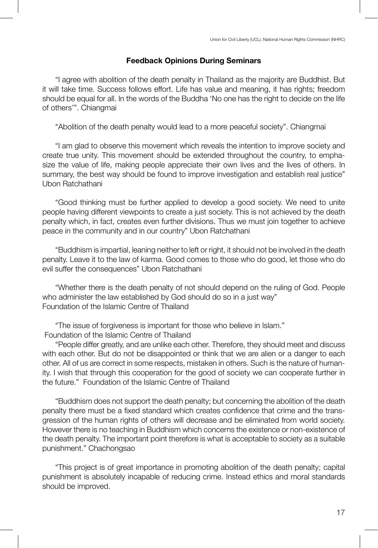### **Feedback Opinions During Seminars**

"I agree with abolition of the death penalty in Thailand as the majority are Buddhist. But it will take time. Success follows effort. Life has value and meaning, it has rights; freedom should be equal for all. In the words of the Buddha 'No one has the right to decide on the life of others'". Chiangmai

"Abolition of the death penalty would lead to a more peaceful society". Chiangmai

"I am glad to observe this movement which reveals the intention to improve society and create true unity. This movement should be extended throughout the country, to emphasize the value of life, making people appreciate their own lives and the lives of others. In summary, the best way should be found to improve investigation and establish real justice" Ubon Ratchathani

"Good thinking must be further applied to develop a good society. We need to unite people having different viewpoints to create a just society. This is not achieved by the death penalty which, in fact, creates even further divisions. Thus we must join together to achieve peace in the community and in our country" Ubon Ratchathani

"Buddhism is impartial, leaning neither to left or right, it should not be involved in the death penalty. Leave it to the law of karma. Good comes to those who do good, let those who do evil suffer the consequences" Ubon Ratchathani

"Whether there is the death penalty of not should depend on the ruling of God. People who administer the law established by God should do so in a just way" Foundation of the Islamic Centre of Thailand

"The issue of forgiveness is important for those who believe in Islam." Foundation of the Islamic Centre of Thailand

"People differ greatly, and are unlike each other. Therefore, they should meet and discuss with each other. But do not be disappointed or think that we are alien or a danger to each other. All of us are correct in some respects, mistaken in others. Such is the nature of humanity. I wish that through this cooperation for the good of society we can cooperate further in the future." Foundation of the Islamic Centre of Thailand

"Buddhism does not support the death penalty; but concerning the abolition of the death penalty there must be a fixed standard which creates confidence that crime and the transgression of the human rights of others will decrease and be eliminated from world society. However there is no teaching in Buddhism which concerns the existence or non-existence of the death penalty. The important point therefore is what is acceptable to society as a suitable punishment." Chachongsao

"This project is of great importance in promoting abolition of the death penalty; capital punishment is absolutely incapable of reducing crime. Instead ethics and moral standards should be improved.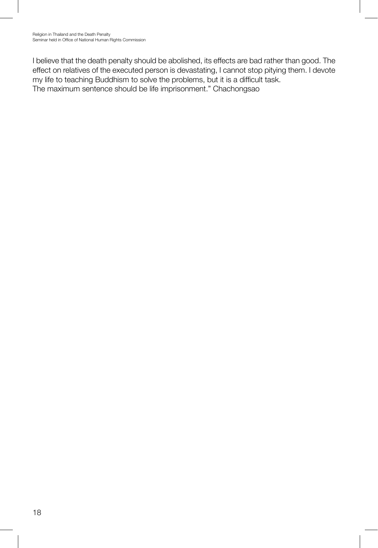I believe that the death penalty should be abolished, its effects are bad rather than good. The effect on relatives of the executed person is devastating, I cannot stop pitying them. I devote my life to teaching Buddhism to solve the problems, but it is a difficult task. The maximum sentence should be life imprisonment." Chachongsao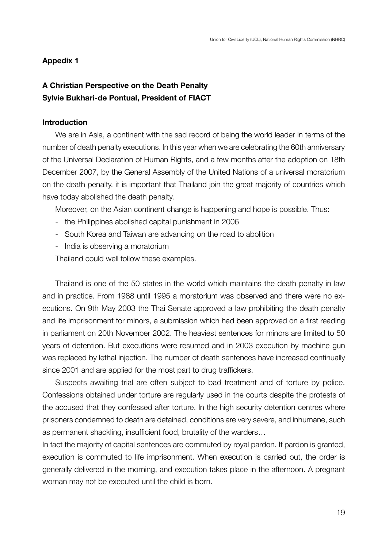#### **Appedix 1**

# **A Christian Perspective on the Death Penalty Sylvie Bukhari-de Pontual, President of FIACT**

### **Introduction**

We are in Asia, a continent with the sad record of being the world leader in terms of the number of death penalty executions. In this year when we are celebrating the 60th anniversary of the Universal Declaration of Human Rights, and a few months after the adoption on 18th December 2007, by the General Assembly of the United Nations of a universal moratorium on the death penalty, it is important that Thailand join the great majority of countries which have today abolished the death penalty.

Moreover, on the Asian continent change is happening and hope is possible. Thus:

- the Philippines abolished capital punishment in 2006
- South Korea and Taiwan are advancing on the road to abolition
- India is observing a moratorium

Thailand could well follow these examples.

Thailand is one of the 50 states in the world which maintains the death penalty in law and in practice. From 1988 until 1995 a moratorium was observed and there were no executions. On 9th May 2003 the Thai Senate approved a law prohibiting the death penalty and life imprisonment for minors, a submission which had been approved on a first reading in parliament on 20th November 2002. The heaviest sentences for minors are limited to 50 years of detention. But executions were resumed and in 2003 execution by machine gun was replaced by lethal injection. The number of death sentences have increased continually since 2001 and are applied for the most part to drug traffickers.

Suspects awaiting trial are often subject to bad treatment and of torture by police. Confessions obtained under torture are regularly used in the courts despite the protests of the accused that they confessed after torture. In the high security detention centres where prisoners condemned to death are detained, conditions are very severe, and inhumane, such as permanent shackling, insufficient food, brutality of the warders…

In fact the majority of capital sentences are commuted by royal pardon. If pardon is granted, execution is commuted to life imprisonment. When execution is carried out, the order is generally delivered in the morning, and execution takes place in the afternoon. A pregnant woman may not be executed until the child is born.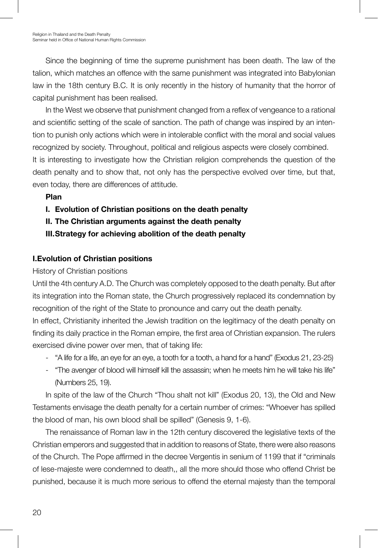Since the beginning of time the supreme punishment has been death. The law of the talion, which matches an offence with the same punishment was integrated into Babylonian law in the 18th century B.C. It is only recently in the history of humanity that the horror of capital punishment has been realised.

In the West we observe that punishment changed from a reflex of vengeance to a rational and scientific setting of the scale of sanction. The path of change was inspired by an intention to punish only actions which were in intolerable conflict with the moral and social values recognized by society. Throughout, political and religious aspects were closely combined. It is interesting to investigate how the Christian religion comprehends the question of the death penalty and to show that, not only has the perspective evolved over time, but that, even today, there are differences of attitude.

### **Plan**

- **I. Evolution of Christian positions on the death penalty**
- **II. The Christian arguments against the death penalty**
- **III.Strategy for achieving abolition of the death penalty**

# **I.Evolution of Christian positions**

### History of Christian positions

Until the 4th century A.D. The Church was completely opposed to the death penalty. But after its integration into the Roman state, the Church progressively replaced its condemnation by recognition of the right of the State to pronounce and carry out the death penalty.

In effect, Christianity inherited the Jewish tradition on the legitimacy of the death penalty on finding its daily practice in the Roman empire, the first area of Christian expansion. The rulers exercised divine power over men, that of taking life:

- "A life for a life, an eye for an eye, a tooth for a tooth, a hand for a hand" (Exodus 21, 23-25)
- "The avenger of blood will himself kill the assassin; when he meets him he will take his life" (Numbers 25, 19).

In spite of the law of the Church "Thou shalt not kill" (Exodus 20, 13), the Old and New Testaments envisage the death penalty for a certain number of crimes: "Whoever has spilled the blood of man, his own blood shall be spilled" (Genesis 9, 1-6).

The renaissance of Roman law in the 12th century discovered the legislative texts of the Christian emperors and suggested that in addition to reasons of State, there were also reasons of the Church. The Pope affirmed in the decree Vergentis in senium of 1199 that if "criminals of lese-majeste were condemned to death,, all the more should those who offend Christ be punished, because it is much more serious to offend the eternal majesty than the temporal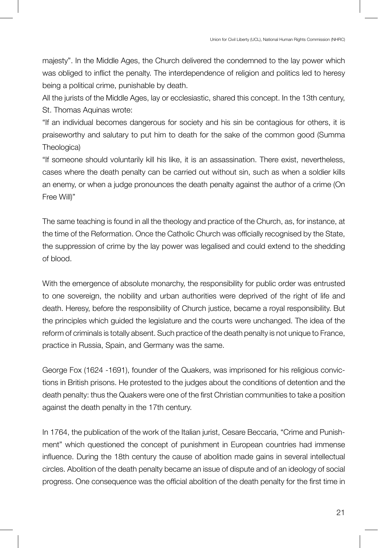majesty". In the Middle Ages, the Church delivered the condemned to the lay power which was obliged to inflict the penalty. The interdependence of religion and politics led to heresy being a political crime, punishable by death.

All the jurists of the Middle Ages, lay or ecclesiastic, shared this concept. In the 13th century, St. Thomas Aquinas wrote:

"If an individual becomes dangerous for society and his sin be contagious for others, it is praiseworthy and salutary to put him to death for the sake of the common good (Summa Theologica)

"If someone should voluntarily kill his like, it is an assassination. There exist, nevertheless, cases where the death penalty can be carried out without sin, such as when a soldier kills an enemy, or when a judge pronounces the death penalty against the author of a crime (On Free Will)"

The same teaching is found in all the theology and practice of the Church, as, for instance, at the time of the Reformation. Once the Catholic Church was officially recognised by the State, the suppression of crime by the lay power was legalised and could extend to the shedding of blood.

With the emergence of absolute monarchy, the responsibility for public order was entrusted to one sovereign, the nobility and urban authorities were deprived of the right of life and death. Heresy, before the responsibility of Church justice, became a royal responsibility. But the principles which guided the legislature and the courts were unchanged. The idea of the reform of criminals is totally absent. Such practice of the death penalty is not unique to France, practice in Russia, Spain, and Germany was the same.

George Fox (1624 -1691), founder of the Quakers, was imprisoned for his religious convictions in British prisons. He protested to the judges about the conditions of detention and the death penalty: thus the Quakers were one of the first Christian communities to take a position against the death penalty in the 17th century.

In 1764, the publication of the work of the Italian jurist, Cesare Beccaria, "Crime and Punishment" which questioned the concept of punishment in European countries had immense influence. During the 18th century the cause of abolition made gains in several intellectual circles. Abolition of the death penalty became an issue of dispute and of an ideology of social progress. One consequence was the official abolition of the death penalty for the first time in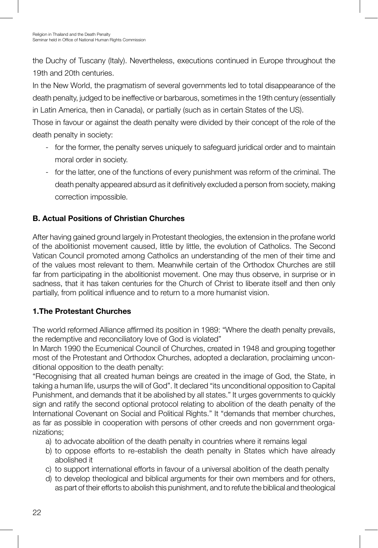the Duchy of Tuscany (Italy). Nevertheless, executions continued in Europe throughout the 19th and 20th centuries.

In the New World, the pragmatism of several governments led to total disappearance of the death penalty, judged to be ineffective or barbarous, sometimes in the 19th century (essentially in Latin America, then in Canada), or partially (such as in certain States of the US).

Those in favour or against the death penalty were divided by their concept of the role of the death penalty in society:

- for the former, the penalty serves uniquely to safeguard juridical order and to maintain moral order in society.
- for the latter, one of the functions of every punishment was reform of the criminal. The death penalty appeared absurd as it definitively excluded a person from society, making correction impossible.

# **B. Actual Positions of Christian Churches**

After having gained ground largely in Protestant theologies, the extension in the profane world of the abolitionist movement caused, little by little, the evolution of Catholics. The Second Vatican Council promoted among Catholics an understanding of the men of their time and of the values most relevant to them. Meanwhile certain of the Orthodox Churches are still far from participating in the abolitionist movement. One may thus observe, in surprise or in sadness, that it has taken centuries for the Church of Christ to liberate itself and then only partially, from political influence and to return to a more humanist vision.

# **1.The Protestant Churches**

The world reformed Alliance affirmed its position in 1989: "Where the death penalty prevails, the redemptive and reconciliatory love of God is violated"

In March 1990 the Ecumenical Council of Churches, created in 1948 and grouping together most of the Protestant and Orthodox Churches, adopted a declaration, proclaiming unconditional opposition to the death penalty:

"Recognising that all created human beings are created in the image of God, the State, in taking a human life, usurps the will of God". It declared "its unconditional opposition to Capital Punishment, and demands that it be abolished by all states." It urges governments to quickly sign and ratify the second optional protocol relating to abolition of the death penalty of the International Covenant on Social and Political Rights." It "demands that member churches, as far as possible in cooperation with persons of other creeds and non government organizations;

- a) to advocate abolition of the death penalty in countries where it remains legal
- b) to oppose efforts to re-establish the death penalty in States which have already abolished it
- c) to support international efforts in favour of a universal abolition of the death penalty
- d) to develop theological and biblical arguments for their own members and for others, as part of their efforts to abolish this punishment, and to refute the biblical and theological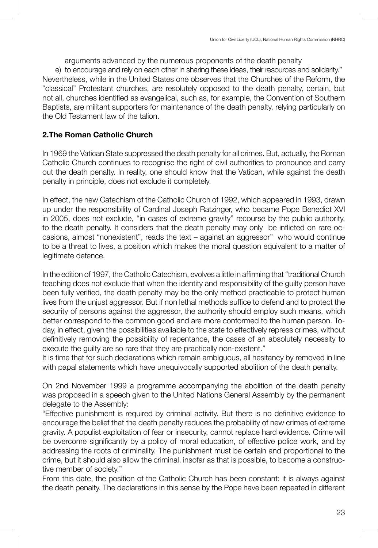arguments advanced by the numerous proponents of the death penalty e) to encourage and rely on each other in sharing these ideas, their resources and solidarity." Nevertheless, while in the United States one observes that the Churches of the Reform, the "classical" Protestant churches, are resolutely opposed to the death penalty, certain, but not all, churches identified as evangelical, such as, for example, the Convention of Southern Baptists, are militant supporters for maintenance of the death penalty, relying particularly on the Old Testament law of the talion.

### **2.The Roman Catholic Church**

In 1969 the Vatican State suppressed the death penalty for all crimes. But, actually, the Roman Catholic Church continues to recognise the right of civil authorities to pronounce and carry out the death penalty. In reality, one should know that the Vatican, while against the death penalty in principle, does not exclude it completely.

In effect, the new Catechism of the Catholic Church of 1992, which appeared in 1993, drawn up under the responsibility of Cardinal Joseph Ratzinger, who became Pope Benedict XVI in 2005, does not exclude, "in cases of extreme gravity" recourse by the public authority, to the death penalty. It considers that the death penalty may only be inflicted on rare occasions, almost "nonexistent", reads the text – against an aggressor" who would continue to be a threat to lives, a position which makes the moral question equivalent to a matter of legitimate defence.

In the edition of 1997, the Catholic Catechism, evolves a little in affirming that "traditional Church teaching does not exclude that when the identity and responsibility of the guilty person have been fully verified, the death penalty may be the only method practicable to protect human lives from the unjust aggressor. But if non lethal methods suffice to defend and to protect the security of persons against the aggressor, the authority should employ such means, which better correspond to the common good and are more conformed to the human person. Today, in effect, given the possibilities available to the state to effectively repress crimes, without definitively removing the possibility of repentance, the cases of an absolutely necessity to execute the guilty are so rare that they are practically non-existent."

It is time that for such declarations which remain ambiguous, all hesitancy by removed in line with papal statements which have unequivocally supported abolition of the death penalty.

On 2nd November 1999 a programme accompanying the abolition of the death penalty was proposed in a speech given to the United Nations General Assembly by the permanent delegate to the Assembly:

"Effective punishment is required by criminal activity. But there is no definitive evidence to encourage the belief that the death penalty reduces the probability of new crimes of extreme gravity. A populist exploitation of fear or insecurity, cannot replace hard evidence. Crime will be overcome significantly by a policy of moral education, of effective police work, and by addressing the roots of criminality. The punishment must be certain and proportional to the crime, but it should also allow the criminal, insofar as that is possible, to become a constructive member of society."

From this date, the position of the Catholic Church has been constant: it is always against the death penalty. The declarations in this sense by the Pope have been repeated in different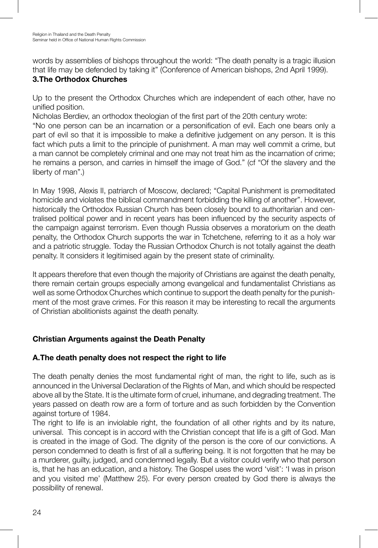words by assemblies of bishops throughout the world: "The death penalty is a tragic illusion that life may be defended by taking it" (Conference of American bishops, 2nd April 1999).

# **3.The Orthodox Churches**

Up to the present the Orthodox Churches which are independent of each other, have no unified position.

Nicholas Berdiev, an orthodox theologian of the first part of the 20th century wrote: "No one person can be an incarnation or a personification of evil. Each one bears only a part of evil so that it is impossible to make a definitive judgement on any person. It is this fact which puts a limit to the principle of punishment. A man may well commit a crime, but a man cannot be completely criminal and one may not treat him as the incarnation of crime; he remains a person, and carries in himself the image of God." (cf "Of the slavery and the liberty of man".)

In May 1998, Alexis II, patriarch of Moscow, declared; "Capital Punishment is premeditated homicide and violates the biblical commandment forbidding the killing of another". However, historically the Orthodox Russian Church has been closely bound to authoritarian and centralised political power and in recent years has been influenced by the security aspects of the campaign against terrorism. Even though Russia observes a moratorium on the death penalty, the Orthodox Church supports the war in Tchetchene, referring to it as a holy war and a patriotic struggle. Today the Russian Orthodox Church is not totally against the death penalty. It considers it legitimised again by the present state of criminality.

It appears therefore that even though the majority of Christians are against the death penalty, there remain certain groups especially among evangelical and fundamentalist Christians as well as some Orthodox Churches which continue to support the death penalty for the punishment of the most grave crimes. For this reason it may be interesting to recall the arguments of Christian abolitionists against the death penalty.

# **Christian Arguments against the Death Penalty**

# **A.The death penalty does not respect the right to life**

The death penalty denies the most fundamental right of man, the right to life, such as is announced in the Universal Declaration of the Rights of Man, and which should be respected above all by the State. It is the ultimate form of cruel, inhumane, and degrading treatment. The years passed on death row are a form of torture and as such forbidden by the Convention against torture of 1984.

The right to life is an inviolable right, the foundation of all other rights and by its nature, universal. This concept is in accord with the Christian concept that life is a gift of God. Man is created in the image of God. The dignity of the person is the core of our convictions. A person condemned to death is first of all a suffering being. It is not forgotten that he may be a murderer, guilty, judged, and condemned legally. But a visitor could verify who that person is, that he has an education, and a history. The Gospel uses the word 'visit': 'I was in prison and you visited me' (Matthew 25). For every person created by God there is always the possibility of renewal.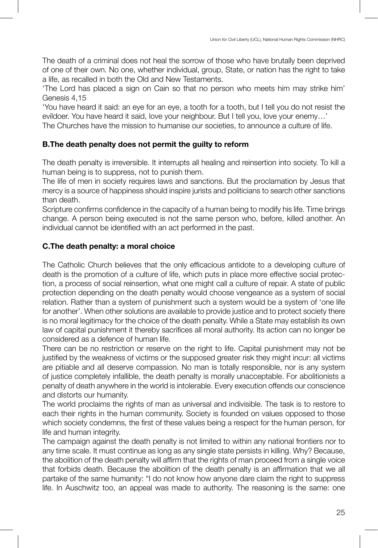The death of a criminal does not heal the sorrow of those who have brutally been deprived of one of their own. No one, whether individual, group, State, or nation has the right to take a life, as recalled in both the Old and New Testaments.

'The Lord has placed a sign on Cain so that no person who meets him may strike him' Genesis 4,15

'You have heard it said: an eye for an eye, a tooth for a tooth, but I tell you do not resist the evildoer. You have heard it said, love your neighbour. But I tell you, love your enemy…'

The Churches have the mission to humanise our societies, to announce a culture of life.

### **B.The death penalty does not permit the guilty to reform**

The death penalty is irreversible. It interrupts all healing and reinsertion into society. To kill a human being is to suppress, not to punish them.

The life of men in society requires laws and sanctions. But the proclamation by Jesus that mercy is a source of happiness should inspire jurists and politicians to search other sanctions than death.

Scripture confirms confidence in the capacity of a human being to modify his life. Time brings change. A person being executed is not the same person who, before, killed another. An individual cannot be identified with an act performed in the past.

### **C.The death penalty: a moral choice**

The Catholic Church believes that the only efficacious antidote to a developing culture of death is the promotion of a culture of life, which puts in place more effective social protection, a process of social reinsertion, what one might call a culture of repair. A state of public protection depending on the death penalty would choose vengeance as a system of social relation. Rather than a system of punishment such a system would be a system of 'one life for another'. When other solutions are available to provide justice and to protect society there is no moral legitimacy for the choice of the death penalty. While a State may establish its own law of capital punishment it thereby sacrifices all moral authority. Its action can no longer be considered as a defence of human life.

There can be no restriction or reserve on the right to life. Capital punishment may not be justified by the weakness of victims or the supposed greater risk they might incur: all victims are pitiable and all deserve compassion. No man is totally responsible, nor is any system of justice completely infallible, the death penalty is morally unacceptable. For abolitionists a penalty of death anywhere in the world is intolerable. Every execution offends our conscience and distorts our humanity.

The world proclaims the rights of man as universal and indivisible. The task is to restore to each their rights in the human community. Society is founded on values opposed to those which society condemns, the first of these values being a respect for the human person, for life and human integrity.

The campaign against the death penalty is not limited to within any national frontiers nor to any time scale. It must continue as long as any single state persists in killing. Why? Because, the abolition of the death penalty will affirm that the rights of man proceed from a single voice that forbids death. Because the abolition of the death penalty is an affirmation that we all partake of the same humanity: "I do not know how anyone dare claim the right to suppress life. In Auschwitz too, an appeal was made to authority. The reasoning is the same: one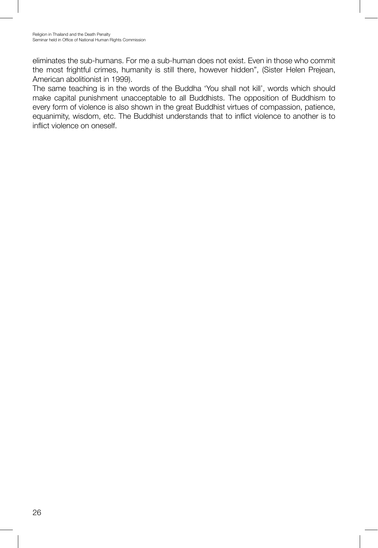eliminates the sub-humans. For me a sub-human does not exist. Even in those who commit the most frightful crimes, humanity is still there, however hidden", (Sister Helen Prejean, American abolitionist in 1999).

The same teaching is in the words of the Buddha 'You shall not kill', words which should make capital punishment unacceptable to all Buddhists. The opposition of Buddhism to every form of violence is also shown in the great Buddhist virtues of compassion, patience, equanimity, wisdom, etc. The Buddhist understands that to inflict violence to another is to inflict violence on oneself.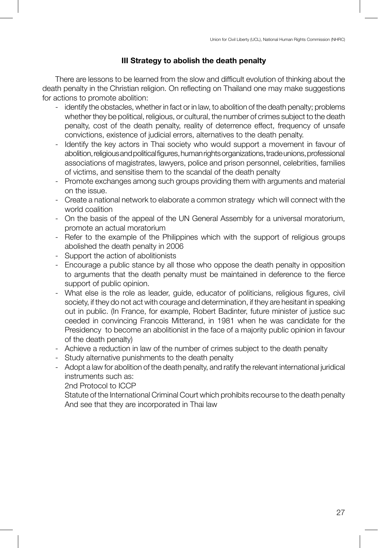# **III Strategy to abolish the death penalty**

There are lessons to be learned from the slow and difficult evolution of thinking about the death penalty in the Christian religion. On reflecting on Thailand one may make suggestions for actions to promote abolition:

- identify the obstacles, whether in fact or in law, to abolition of the death penalty; problems whether they be political, religious, or cultural, the number of crimes subject to the death penalty, cost of the death penalty, reality of deterrence effect, frequency of unsafe convictions, existence of judicial errors, alternatives to the death penalty.
- Identify the key actors in Thai society who would support a movement in favour of abolition, religious and political figures, human rights organizations, trade unions, professional associations of magistrates, lawyers, police and prison personnel, celebrities, families of victims, and sensitise them to the scandal of the death penalty
- Promote exchanges among such groups providing them with arguments and material on the issue.
- Create a national network to elaborate a common strategy which will connect with the world coalition
- On the basis of the appeal of the UN General Assembly for a universal moratorium, promote an actual moratorium
- Refer to the example of the Philippines which with the support of religious groups abolished the death penalty in 2006
- Support the action of abolitionists
- Encourage a public stance by all those who oppose the death penalty in opposition to arguments that the death penalty must be maintained in deference to the fierce support of public opinion.
- What else is the role as leader, guide, educator of politicians, religious figures, civil society, if they do not act with courage and determination, if they are hesitant in speaking out in public. (In France, for example, Robert Badinter, future minister of justice suc ceeded in convincing Francois Mitterand, in 1981 when he was candidate for the Presidency to become an abolitionist in the face of a majority public opinion in favour of the death penalty)
- Achieve a reduction in law of the number of crimes subject to the death penalty
- Study alternative punishments to the death penalty
- Adopt a law for abolition of the death penalty, and ratify the relevant international juridical instruments such as:

2nd Protocol to ICCP

Statute of the International Criminal Court which prohibits recourse to the death penalty And see that they are incorporated in Thai law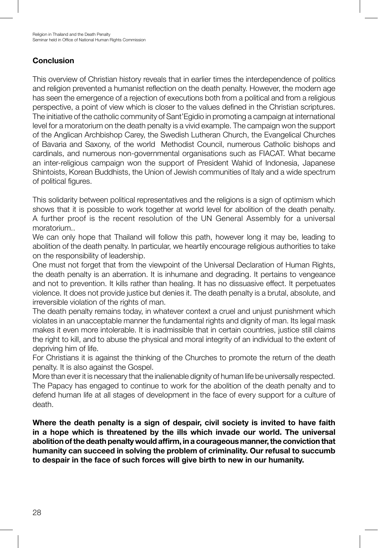# **Conclusion**

This overview of Christian history reveals that in earlier times the interdependence of politics and religion prevented a humanist reflection on the death penalty. However, the modern age has seen the emergence of a rejection of executions both from a political and from a religious perspective, a point of view which is closer to the values defined in the Christian scriptures. The initiative of the catholic community of Sant'Egidio in promoting a campaign at international level for a moratorium on the death penalty is a vivid example. The campaign won the support of the Anglican Archbishop Carey, the Swedish Lutheran Church, the Evangelical Churches of Bavaria and Saxony, of the world Methodist Council, numerous Catholic bishops and cardinals, and numerous non-governmental organisations such as FIACAT. What became an inter-religious campaign won the support of President Wahid of Indonesia, Japanese Shintoists, Korean Buddhists, the Union of Jewish communities of Italy and a wide spectrum of political figures.

This solidarity between political representatives and the religions is a sign of optimism which shows that it is possible to work together at world level for abolition of the death penalty. A further proof is the recent resolution of the UN General Assembly for a universal moratorium..

We can only hope that Thailand will follow this path, however long it may be, leading to abolition of the death penalty. In particular, we heartily encourage religious authorities to take on the responsibility of leadership.

One must not forget that from the viewpoint of the Universal Declaration of Human Rights, the death penalty is an aberration. It is inhumane and degrading. It pertains to vengeance and not to prevention. It kills rather than healing. It has no dissuasive effect. It perpetuates violence. It does not provide justice but denies it. The death penalty is a brutal, absolute, and irreversible violation of the rights of man.

The death penalty remains today, in whatever context a cruel and unjust punishment which violates in an unacceptable manner the fundamental rights and dignity of man. Its legal mask makes it even more intolerable. It is inadmissible that in certain countries, justice still claims the right to kill, and to abuse the physical and moral integrity of an individual to the extent of depriving him of life.

For Christians it is against the thinking of the Churches to promote the return of the death penalty. It is also against the Gospel.

More than ever it is necessary that the inalienable dignity of human life be universally respected. The Papacy has engaged to continue to work for the abolition of the death penalty and to defend human life at all stages of development in the face of every support for a culture of death.

**Where the death penalty is a sign of despair, civil society is invited to have faith in a hope which is threatened by the ills which invade our world. The universal abolition of the death penalty would affirm, in a courageous manner, the conviction that humanity can succeed in solving the problem of criminality. Our refusal to succumb to despair in the face of such forces will give birth to new in our humanity.**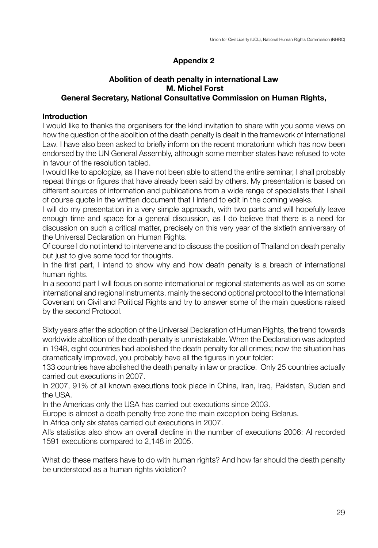# **Appendix 2**

### **Abolition of death penalty in international Law M. Michel Forst General Secretary, National Consultative Commission on Human Rights,**

### **Introduction**

I would like to thanks the organisers for the kind invitation to share with you some views on how the question of the abolition of the death penalty is dealt in the framework of International Law. I have also been asked to briefly inform on the recent moratorium which has now been endorsed by the UN General Assembly, although some member states have refused to vote in favour of the resolution tabled.

I would like to apologize, as I have not been able to attend the entire seminar, I shall probably repeat things or figures that have already been said by others. My presentation is based on different sources of information and publications from a wide range of specialists that I shall of course quote in the written document that I intend to edit in the coming weeks.

I will do my presentation in a very simple approach, with two parts and will hopefully leave enough time and space for a general discussion, as I do believe that there is a need for discussion on such a critical matter, precisely on this very year of the sixtieth anniversary of the Universal Declaration on Human Rights.

Of course I do not intend to intervene and to discuss the position of Thailand on death penalty but just to give some food for thoughts.

In the first part, I intend to show why and how death penalty is a breach of international human rights.

In a second part I will focus on some international or regional statements as well as on some international and regional instruments, mainly the second optional protocol to the International Covenant on Civil and Political Rights and try to answer some of the main questions raised by the second Protocol.

Sixty years after the adoption of the Universal Declaration of Human Rights, the trend towards worldwide abolition of the death penalty is unmistakable. When the Declaration was adopted in 1948, eight countries had abolished the death penalty for all crimes; now the situation has dramatically improved, you probably have all the figures in your folder:

133 countries have abolished the death penalty in law or practice. Only 25 countries actually carried out executions in 2007.

In 2007, 91% of all known executions took place in China, Iran, Iraq, Pakistan, Sudan and the USA.

In the Americas only the USA has carried out executions since 2003.

Europe is almost a death penalty free zone the main exception being Belarus.

In Africa only six states carried out executions in 2007.

AI's statistics also show an overall decline in the number of executions 2006: AI recorded 1591 executions compared to 2,148 in 2005.

What do these matters have to do with human rights? And how far should the death penalty be understood as a human rights violation?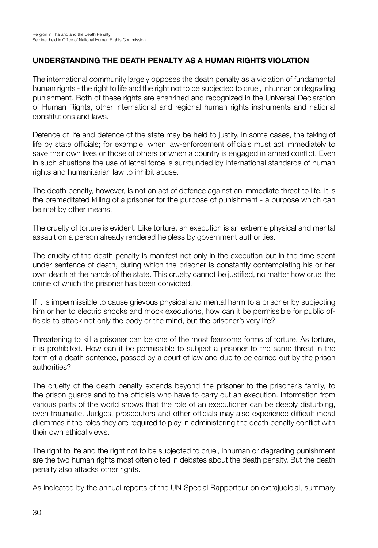# **UNDERSTANDING THE DEATH PENALTY AS A HUMAN RIGHTS VIOLATION**

The international community largely opposes the death penalty as a violation of fundamental human rights - the right to life and the right not to be subjected to cruel, inhuman or degrading punishment. Both of these rights are enshrined and recognized in the Universal Declaration of Human Rights, other international and regional human rights instruments and national constitutions and laws.

Defence of life and defence of the state may be held to justify, in some cases, the taking of life by state officials; for example, when law-enforcement officials must act immediately to save their own lives or those of others or when a country is engaged in armed conflict. Even in such situations the use of lethal force is surrounded by international standards of human rights and humanitarian law to inhibit abuse.

The death penalty, however, is not an act of defence against an immediate threat to life. It is the premeditated killing of a prisoner for the purpose of punishment - a purpose which can be met by other means.

The cruelty of torture is evident. Like torture, an execution is an extreme physical and mental assault on a person already rendered helpless by government authorities.

The cruelty of the death penalty is manifest not only in the execution but in the time spent under sentence of death, during which the prisoner is constantly contemplating his or her own death at the hands of the state. This cruelty cannot be justified, no matter how cruel the crime of which the prisoner has been convicted.

If it is impermissible to cause grievous physical and mental harm to a prisoner by subjecting him or her to electric shocks and mock executions, how can it be permissible for public officials to attack not only the body or the mind, but the prisoner's very life?

Threatening to kill a prisoner can be one of the most fearsome forms of torture. As torture, it is prohibited. How can it be permissible to subject a prisoner to the same threat in the form of a death sentence, passed by a court of law and due to be carried out by the prison authorities?

The cruelty of the death penalty extends beyond the prisoner to the prisoner's family, to the prison guards and to the officials who have to carry out an execution. Information from various parts of the world shows that the role of an executioner can be deeply disturbing, even traumatic. Judges, prosecutors and other officials may also experience difficult moral dilemmas if the roles they are required to play in administering the death penalty conflict with their own ethical views.

The right to life and the right not to be subjected to cruel, inhuman or degrading punishment are the two human rights most often cited in debates about the death penalty. But the death penalty also attacks other rights.

As indicated by the annual reports of the UN Special Rapporteur on extrajudicial, summary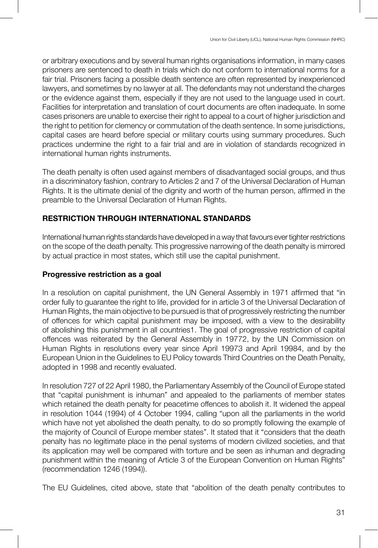or arbitrary executions and by several human rights organisations information, in many cases prisoners are sentenced to death in trials which do not conform to international norms for a fair trial. Prisoners facing a possible death sentence are often represented by inexperienced lawyers, and sometimes by no lawyer at all. The defendants may not understand the charges or the evidence against them, especially if they are not used to the language used in court. Facilities for interpretation and translation of court documents are often inadequate. In some cases prisoners are unable to exercise their right to appeal to a court of higher jurisdiction and the right to petition for clemency or commutation of the death sentence. In some jurisdictions, capital cases are heard before special or military courts using summary procedures. Such practices undermine the right to a fair trial and are in violation of standards recognized in international human rights instruments.

The death penalty is often used against members of disadvantaged social groups, and thus in a discriminatory fashion, contrary to Articles 2 and 7 of the Universal Declaration of Human Rights. It is the ultimate denial of the dignity and worth of the human person, affirmed in the preamble to the Universal Declaration of Human Rights.

# **RESTRICTION THROUGH INTERNATIONAL STANDARDS**

International human rights standards have developed in a way that favours ever tighter restrictions on the scope of the death penalty. This progressive narrowing of the death penalty is mirrored by actual practice in most states, which still use the capital punishment.

### **Progressive restriction as a goal**

In a resolution on capital punishment, the UN General Assembly in 1971 affirmed that "in order fully to guarantee the right to life, provided for in article 3 of the Universal Declaration of Human Rights, the main objective to be pursued is that of progressively restricting the number of offences for which capital punishment may be imposed, with a view to the desirability of abolishing this punishment in all countries1. The goal of progressive restriction of capital offences was reiterated by the General Assembly in 19772, by the UN Commission on Human Rights in resolutions every year since April 19973 and April 19984, and by the European Union in the Guidelines to EU Policy towards Third Countries on the Death Penalty, adopted in 1998 and recently evaluated.

In resolution 727 of 22 April 1980, the Parliamentary Assembly of the Council of Europe stated that "capital punishment is inhuman" and appealed to the parliaments of member states which retained the death penalty for peacetime offences to abolish it. It widened the appeal in resolution 1044 (1994) of 4 October 1994, calling "upon all the parliaments in the world which have not yet abolished the death penalty, to do so promptly following the example of the majority of Council of Europe member states". It stated that it "considers that the death penalty has no legitimate place in the penal systems of modern civilized societies, and that its application may well be compared with torture and be seen as inhuman and degrading punishment within the meaning of Article 3 of the European Convention on Human Rights" (recommendation 1246 (1994)).

The EU Guidelines, cited above, state that "abolition of the death penalty contributes to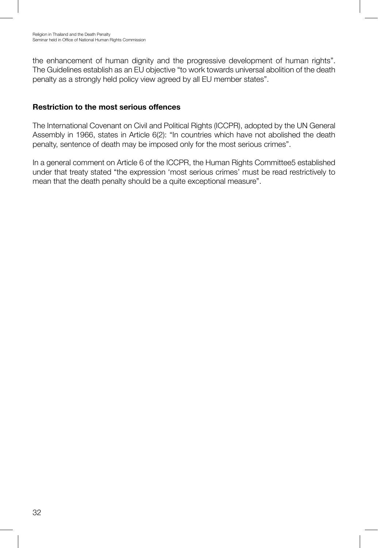the enhancement of human dignity and the progressive development of human rights". The Guidelines establish as an EU objective "to work towards universal abolition of the death penalty as a strongly held policy view agreed by all EU member states".

### **Restriction to the most serious offences**

The International Covenant on Civil and Political Rights (ICCPR), adopted by the UN General Assembly in 1966, states in Article 6(2): "In countries which have not abolished the death penalty, sentence of death may be imposed only for the most serious crimes".

In a general comment on Article 6 of the ICCPR, the Human Rights Committee5 established under that treaty stated "the expression 'most serious crimes' must be read restrictively to mean that the death penalty should be a quite exceptional measure".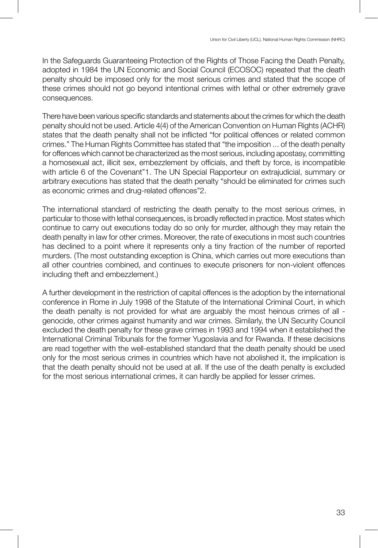In the Safeguards Guaranteeing Protection of the Rights of Those Facing the Death Penalty, adopted in 1984 the UN Economic and Social Council (ECOSOC) repeated that the death penalty should be imposed only for the most serious crimes and stated that the scope of these crimes should not go beyond intentional crimes with lethal or other extremely grave consequences.

There have been various specific standards and statements about the crimes for which the death penalty should not be used. Article 4(4) of the American Convention on Human Rights (ACHR) states that the death penalty shall not be inflicted "for political offences or related common crimes." The Human Rights Committee has stated that "the imposition ... of the death penalty for offences which cannot be characterized as the most serious, including apostasy, committing a homosexual act, illicit sex, embezzlement by officials, and theft by force, is incompatible with article 6 of the Covenant"1. The UN Special Rapporteur on extrajudicial, summary or arbitrary executions has stated that the death penalty "should be eliminated for crimes such as economic crimes and drug-related offences"2.

The international standard of restricting the death penalty to the most serious crimes, in particular to those with lethal consequences, is broadly reflected in practice. Most states which continue to carry out executions today do so only for murder, although they may retain the death penalty in law for other crimes. Moreover, the rate of executions in most such countries has declined to a point where it represents only a tiny fraction of the number of reported murders. (The most outstanding exception is China, which carries out more executions than all other countries combined, and continues to execute prisoners for non-violent offences including theft and embezzlement.)

A further development in the restriction of capital offences is the adoption by the international conference in Rome in July 1998 of the Statute of the International Criminal Court, in which the death penalty is not provided for what are arguably the most heinous crimes of all genocide, other crimes against humanity and war crimes. Similarly, the UN Security Council excluded the death penalty for these grave crimes in 1993 and 1994 when it established the International Criminal Tribunals for the former Yugoslavia and for Rwanda. If these decisions are read together with the well-established standard that the death penalty should be used only for the most serious crimes in countries which have not abolished it, the implication is that the death penalty should not be used at all. If the use of the death penalty is excluded for the most serious international crimes, it can hardly be applied for lesser crimes.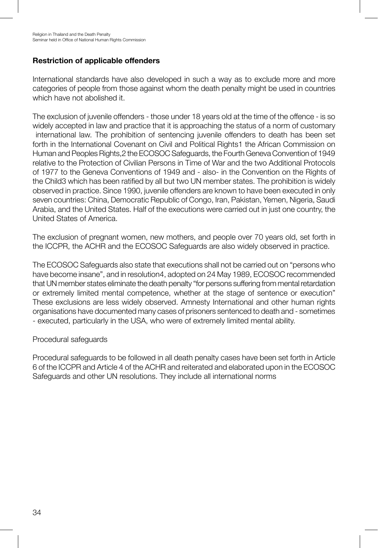### **Restriction of applicable offenders**

International standards have also developed in such a way as to exclude more and more categories of people from those against whom the death penalty might be used in countries which have not abolished it.

The exclusion of juvenile offenders - those under 18 years old at the time of the offence - is so widely accepted in law and practice that it is approaching the status of a norm of customary international law. The prohibition of sentencing juvenile offenders to death has been set forth in the International Covenant on Civil and Political Rights1 the African Commission on Human and Peoples Rights,2 the ECOSOC Safeguards, the Fourth Geneva Convention of 1949 relative to the Protection of Civilian Persons in Time of War and the two Additional Protocols of 1977 to the Geneva Conventions of 1949 and - also- in the Convention on the Rights of the Child3 which has been ratified by all but two UN member states. The prohibition is widely observed in practice. Since 1990, juvenile offenders are known to have been executed in only seven countries: China, Democratic Republic of Congo, Iran, Pakistan, Yemen, Nigeria, Saudi Arabia, and the United States. Half of the executions were carried out in just one country, the United States of America.

The exclusion of pregnant women, new mothers, and people over 70 years old, set forth in the ICCPR, the ACHR and the ECOSOC Safeguards are also widely observed in practice.

The ECOSOC Safeguards also state that executions shall not be carried out on "persons who have become insane", and in resolution4, adopted on 24 May 1989, ECOSOC recommended that UN member states eliminate the death penalty "for persons suffering from mental retardation or extremely limited mental competence, whether at the stage of sentence or execution" These exclusions are less widely observed. Amnesty International and other human rights organisations have documented many cases of prisoners sentenced to death and - sometimes - executed, particularly in the USA, who were of extremely limited mental ability.

### Procedural safeguards

Procedural safeguards to be followed in all death penalty cases have been set forth in Article 6 of the ICCPR and Article 4 of the ACHR and reiterated and elaborated upon in the ECOSOC Safeguards and other UN resolutions. They include all international norms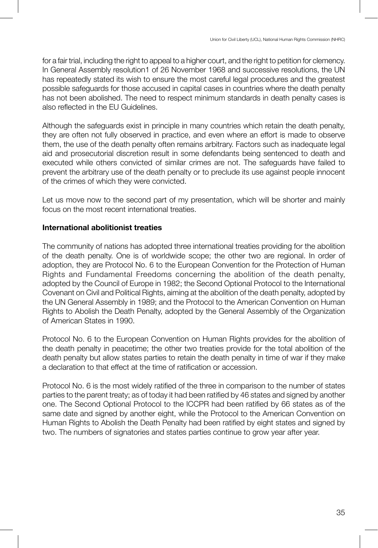for a fair trial, including the right to appeal to a higher court, and the right to petition for clemency. In General Assembly resolution1 of 26 November 1968 and successive resolutions, the UN has repeatedly stated its wish to ensure the most careful legal procedures and the greatest possible safeguards for those accused in capital cases in countries where the death penalty has not been abolished. The need to respect minimum standards in death penalty cases is also reflected in the EU Guidelines.

Although the safeguards exist in principle in many countries which retain the death penalty, they are often not fully observed in practice, and even where an effort is made to observe them, the use of the death penalty often remains arbitrary. Factors such as inadequate legal aid and prosecutorial discretion result in some defendants being sentenced to death and executed while others convicted of similar crimes are not. The safeguards have failed to prevent the arbitrary use of the death penalty or to preclude its use against people innocent of the crimes of which they were convicted.

Let us move now to the second part of my presentation, which will be shorter and mainly focus on the most recent international treaties.

### **International abolitionist treaties**

The community of nations has adopted three international treaties providing for the abolition of the death penalty. One is of worldwide scope; the other two are regional. In order of adoption, they are Protocol No. 6 to the European Convention for the Protection of Human Rights and Fundamental Freedoms concerning the abolition of the death penalty, adopted by the Council of Europe in 1982; the Second Optional Protocol to the International Covenant on Civil and Political Rights, aiming at the abolition of the death penalty, adopted by the UN General Assembly in 1989; and the Protocol to the American Convention on Human Rights to Abolish the Death Penalty, adopted by the General Assembly of the Organization of American States in 1990.

Protocol No. 6 to the European Convention on Human Rights provides for the abolition of the death penalty in peacetime; the other two treaties provide for the total abolition of the death penalty but allow states parties to retain the death penalty in time of war if they make a declaration to that effect at the time of ratification or accession.

Protocol No. 6 is the most widely ratified of the three in comparison to the number of states parties to the parent treaty; as of today it had been ratified by 46 states and signed by another one. The Second Optional Protocol to the ICCPR had been ratified by 66 states as of the same date and signed by another eight, while the Protocol to the American Convention on Human Rights to Abolish the Death Penalty had been ratified by eight states and signed by two. The numbers of signatories and states parties continue to grow year after year.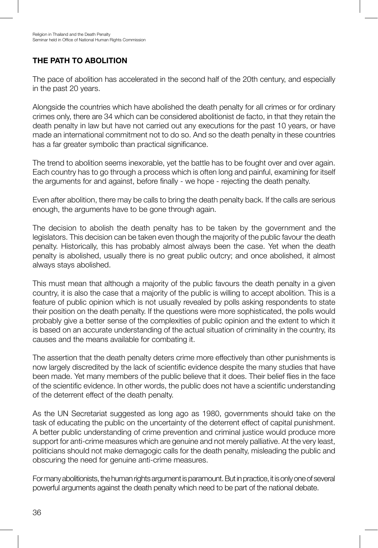# **THE PATH TO ABOLITION**

The pace of abolition has accelerated in the second half of the 20th century, and especially in the past 20 years.

Alongside the countries which have abolished the death penalty for all crimes or for ordinary crimes only, there are 34 which can be considered abolitionist de facto, in that they retain the death penalty in law but have not carried out any executions for the past 10 years, or have made an international commitment not to do so. And so the death penalty in these countries has a far greater symbolic than practical significance.

The trend to abolition seems inexorable, yet the battle has to be fought over and over again. Each country has to go through a process which is often long and painful, examining for itself the arguments for and against, before finally - we hope - rejecting the death penalty.

Even after abolition, there may be calls to bring the death penalty back. If the calls are serious enough, the arguments have to be gone through again.

The decision to abolish the death penalty has to be taken by the government and the legislators. This decision can be taken even though the majority of the public favour the death penalty. Historically, this has probably almost always been the case. Yet when the death penalty is abolished, usually there is no great public outcry; and once abolished, it almost always stays abolished.

This must mean that although a majority of the public favours the death penalty in a given country, it is also the case that a majority of the public is willing to accept abolition. This is a feature of public opinion which is not usually revealed by polls asking respondents to state their position on the death penalty. If the questions were more sophisticated, the polls would probably give a better sense of the complexities of public opinion and the extent to which it is based on an accurate understanding of the actual situation of criminality in the country, its causes and the means available for combating it.

The assertion that the death penalty deters crime more effectively than other punishments is now largely discredited by the lack of scientific evidence despite the many studies that have been made. Yet many members of the public believe that it does. Their belief flies in the face of the scientific evidence. In other words, the public does not have a scientific understanding of the deterrent effect of the death penalty.

As the UN Secretariat suggested as long ago as 1980, governments should take on the task of educating the public on the uncertainty of the deterrent effect of capital punishment. A better public understanding of crime prevention and criminal justice would produce more support for anti-crime measures which are genuine and not merely palliative. At the very least, politicians should not make demagogic calls for the death penalty, misleading the public and obscuring the need for genuine anti-crime measures.

For many abolitionists, the human rights argument is paramount. But in practice, it is only one of several powerful arguments against the death penalty which need to be part of the national debate.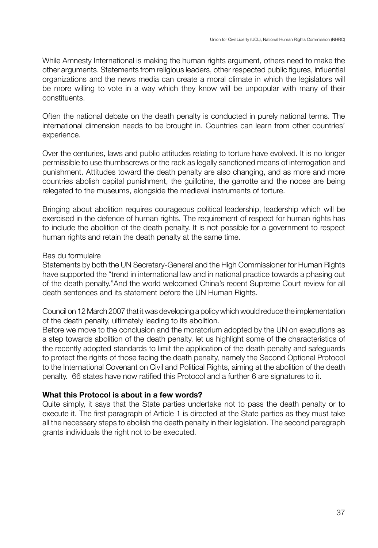While Amnesty International is making the human rights argument, others need to make the other arguments. Statements from religious leaders, other respected public figures, influential organizations and the news media can create a moral climate in which the legislators will be more willing to vote in a way which they know will be unpopular with many of their constituents.

Often the national debate on the death penalty is conducted in purely national terms. The international dimension needs to be brought in. Countries can learn from other countries' experience.

Over the centuries, laws and public attitudes relating to torture have evolved. It is no longer permissible to use thumbscrews or the rack as legally sanctioned means of interrogation and punishment. Attitudes toward the death penalty are also changing, and as more and more countries abolish capital punishment, the guillotine, the garrotte and the noose are being relegated to the museums, alongside the medieval instruments of torture.

Bringing about abolition requires courageous political leadership, leadership which will be exercised in the defence of human rights. The requirement of respect for human rights has to include the abolition of the death penalty. It is not possible for a government to respect human rights and retain the death penalty at the same time.

#### Bas du formulaire

Statements by both the UN Secretary-General and the High Commissioner for Human Rights have supported the "trend in international law and in national practice towards a phasing out of the death penalty."And the world welcomed China's recent Supreme Court review for all death sentences and its statement before the UN Human Rights.

Council on 12 March 2007 that it was developing a policy which would reduce the implementation of the death penalty, ultimately leading to its abolition.

Before we move to the conclusion and the moratorium adopted by the UN on executions as a step towards abolition of the death penalty, let us highlight some of the characteristics of the recently adopted standards to limit the application of the death penalty and safeguards to protect the rights of those facing the death penalty, namely the Second Optional Protocol to the International Covenant on Civil and Political Rights, aiming at the abolition of the death penalty. 66 states have now ratified this Protocol and a further 6 are signatures to it.

### **What this Protocol is about in a few words?**

Quite simply, it says that the State parties undertake not to pass the death penalty or to execute it. The first paragraph of Article 1 is directed at the State parties as they must take all the necessary steps to abolish the death penalty in their legislation. The second paragraph grants individuals the right not to be executed.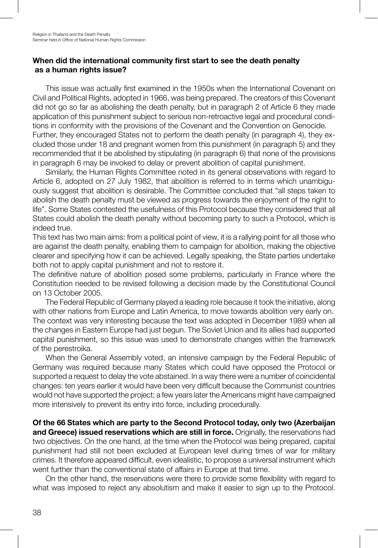### **When did the international community first start to see the death penalty as a human rights issue?**

This issue was actually first examined in the 1950s when the International Covenant on Civil and Political Rights, adopted in 1966, was being prepared. The creators of this Covenant did not go so far as abolishing the death penalty, but in paragraph 2 of Article 6 they made application of this punishment subject to serious non-retroactive legal and procedural conditions in conformity with the provisions of the Covenant and the Convention on Genocide. Further, they encouraged States not to perform the death penalty (in paragraph 4), they excluded those under 18 and pregnant women from this punishment (in paragraph 5) and they recommended that it be abolished by stipulating (in paragraph 6) that none of the provisions in paragraph 6 may be invoked to delay or prevent abolition of capital punishment.

Similarly, the Human Rights Committee noted in its general observations with regard to Article 6, adopted on 27 July 1982, that abolition is referred to in terms which unambiguously suggest that abolition is desirable. The Committee concluded that "all steps taken to abolish the death penalty must be viewed as progress towards the enjoyment of the right to life". Some States contested the usefulness of this Protocol because they considered that all States could abolish the death penalty without becoming party to such a Protocol, which is indeed true.

This text has two main aims: from a political point of view, it is a rallying point for all those who are against the death penalty, enabling them to campaign for abolition, making the objective clearer and specifying how it can be achieved. Legally speaking, the State parties undertake both not to apply capital punishment and not to restore it.

The definitive nature of abolition posed some problems, particularly in France where the Constitution needed to be revised following a decision made by the Constitutional Council on 13 October 2005.

The Federal Republic of Germany played a leading role because it took the initiative, along with other nations from Europe and Latin America, to move towards abolition very early on. The context was very interesting because the text was adopted in December 1989 when all the changes in Eastern Europe had just begun. The Soviet Union and its allies had supported capital punishment, so this issue was used to demonstrate changes within the framework of the perestroika.

When the General Assembly voted, an intensive campaign by the Federal Republic of Germany was required because many States which could have opposed the Protocol or supported a request to delay the vote abstained. In a way there were a number of coincidental changes: ten years earlier it would have been very difficult because the Communist countries would not have supported the project; a few years later the Americans might have campaigned more intensively to prevent its entry into force, including procedurally.

**Of the 66 States which are party to the Second Protocol today, only two (Azerbaijan and Greece) issued reservations which are still in force.** Originally, the reservations had two objectives. On the one hand, at the time when the Protocol was being prepared, capital punishment had still not been excluded at European level during times of war for military crimes. It therefore appeared difficult, even idealistic, to propose a universal instrument which went further than the conventional state of affairs in Europe at that time.

On the other hand, the reservations were there to provide some flexibility with regard to what was imposed to reject any absolutism and make it easier to sign up to the Protocol.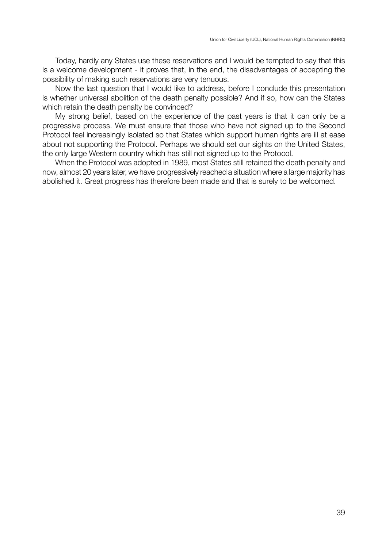Today, hardly any States use these reservations and I would be tempted to say that this is a welcome development - it proves that, in the end, the disadvantages of accepting the possibility of making such reservations are very tenuous.

Now the last question that I would like to address, before I conclude this presentation is whether universal abolition of the death penalty possible? And if so, how can the States which retain the death penalty be convinced?

My strong belief, based on the experience of the past years is that it can only be a progressive process. We must ensure that those who have not signed up to the Second Protocol feel increasingly isolated so that States which support human rights are ill at ease about not supporting the Protocol. Perhaps we should set our sights on the United States, the only large Western country which has still not signed up to the Protocol.

When the Protocol was adopted in 1989, most States still retained the death penalty and now, almost 20 years later, we have progressively reached a situation where a large majority has abolished it. Great progress has therefore been made and that is surely to be welcomed.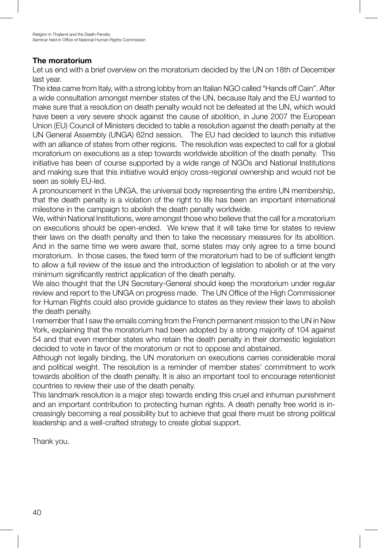### **The moratorium**

Let us end with a brief overview on the moratorium decided by the UN on 18th of December last year.

The idea came from Italy, with a strong lobby from an Italian NGO called "Hands off Cain". After a wide consultation amongst member states of the UN, because Italy and the EU wanted to make sure that a resolution on death penalty would not be defeated at the UN, which would have been a very severe shock against the cause of abolition, in June 2007 the European Union (EU) Council of Ministers decided to table a resolution against the death penalty at the UN General Assembly (UNGA) 62nd session. The EU had decided to launch this initiative with an alliance of states from other regions. The resolution was expected to call for a global moratorium on executions as a step towards worldwide abolition of the death penalty. This initiative has been of course supported by a wide range of NGOs and National Institutions and making sure that this initiative would enjoy cross-regional ownership and would not be seen as solely EU-led.

A pronouncement in the UNGA, the universal body representing the entire UN membership, that the death penalty is a violation of the right to life has been an important international milestone in the campaign to abolish the death penalty worldwide.

We, within National Institutions, were amongst those who believe that the call for a moratorium on executions should be open-ended. We knew that it will take time for states to review their laws on the death penalty and then to take the necessary measures for its abolition. And in the same time we were aware that, some states may only agree to a time bound moratorium. In those cases, the fixed term of the moratorium had to be of sufficient length to allow a full review of the issue and the introduction of legislation to abolish or at the very minimum significantly restrict application of the death penalty.

We also thought that the UN Secretary-General should keep the moratorium under regular review and report to the UNGA on progress made. The UN Office of the High Commissioner for Human Rights could also provide guidance to states as they review their laws to abolish the death penalty.

I remember that I saw the emails coming from the French permanent mission to the UN in New York, explaining that the moratorium had been adopted by a strong majority of 104 against 54 and that even member states who retain the death penalty in their domestic legislation decided to vote in favor of the moratorium or not to oppose and abstained.

Although not legally binding, the UN moratorium on executions carries considerable moral and political weight. The resolution is a reminder of member states' commitment to work towards abolition of the death penalty. It is also an important tool to encourage retentionist countries to review their use of the death penalty.

This landmark resolution is a major step towards ending this cruel and inhuman punishment and an important contribution to protecting human rights. A death penalty free world is increasingly becoming a real possibility but to achieve that goal there must be strong political leadership and a well-crafted strategy to create global support.

Thank you.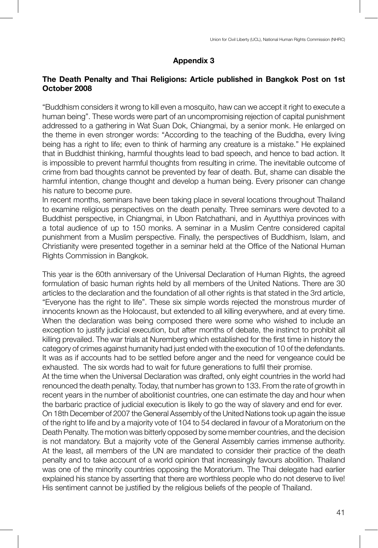### **Appendix 3**

### **The Death Penalty and Thai Religions: Article published in Bangkok Post on 1st October 2008**

"Buddhism considers it wrong to kill even a mosquito, haw can we accept it right to execute a human being". These words were part of an uncompromising rejection of capital punishment addressed to a gathering in Wat Suan Dok, Chiangmai, by a senior monk. He enlarged on the theme in even stronger words: "According to the teaching of the Buddha, every living being has a right to life; even to think of harming any creature is a mistake." He explained that in Buddhist thinking, harmful thoughts lead to bad speech, and hence to bad action. It is impossible to prevent harmful thoughts from resulting in crime. The inevitable outcome of crime from bad thoughts cannot be prevented by fear of death. But, shame can disable the harmful intention, change thought and develop a human being. Every prisoner can change his nature to become pure.

In recent months, seminars have been taking place in several locations throughout Thailand to examine religious perspectives on the death penalty. Three seminars were devoted to a Buddhist perspective, in Chiangmai, in Ubon Ratchathani, and in Ayutthiya provinces with a total audience of up to 150 monks. A seminar in a Muslim Centre considered capital punishment from a Muslim perspective. Finally, the perspectives of Buddhism, Islam, and Christianity were presented together in a seminar held at the Office of the National Human Rights Commission in Bangkok.

This year is the 60th anniversary of the Universal Declaration of Human Rights, the agreed formulation of basic human rights held by all members of the United Nations. There are 30 articles to the declaration and the foundation of all other rights is that stated in the 3rd article, "Everyone has the right to life". These six simple words rejected the monstrous murder of innocents known as the Holocaust, but extended to all killing everywhere, and at every time. When the declaration was being composed there were some who wished to include an exception to justify judicial execution, but after months of debate, the instinct to prohibit all killing prevailed. The war trials at Nuremberg which established for the first time in history the category of crimes against humanity had just ended with the execution of 10 of the defendants. It was as if accounts had to be settled before anger and the need for vengeance could be exhausted. The six words had to wait for future generations to fulfil their promise.

At the time when the Universal Declaration was drafted, only eight countries in the world had renounced the death penalty. Today, that number has grown to 133. From the rate of growth in recent years in the number of abolitionist countries, one can estimate the day and hour when the barbaric practice of judicial execution is likely to go the way of slavery and end for ever.

On 18th December of 2007 the General Assembly of the United Nations took up again the issue of the right to life and by a majority vote of 104 to 54 declared in favour of a Moratorium on the Death Penalty. The motion was bitterly opposed by some member countries, and the decision is not mandatory. But a majority vote of the General Assembly carries immense authority. At the least, all members of the UN are mandated to consider their practice of the death penalty and to take account of a world opinion that increasingly favours abolition. Thailand was one of the minority countries opposing the Moratorium. The Thai delegate had earlier explained his stance by asserting that there are worthless people who do not deserve to live! His sentiment cannot be justified by the religious beliefs of the people of Thailand.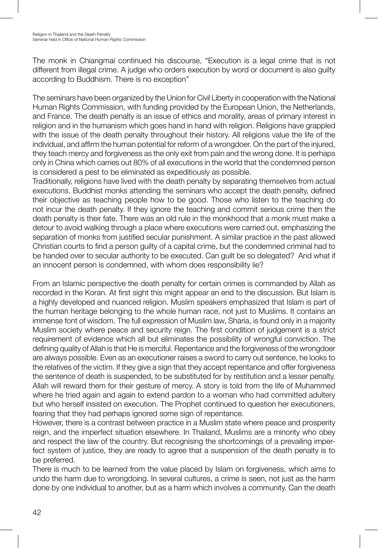The monk in Chiangmai continued his discourse, "Execution is a legal crime that is not different from illegal crime. A judge who orders execution by word or document is also guilty according to Buddhism. There is no exception"

The seminars have been organized by the Union for Civil Liberty in cooperation with the National Human Rights Commission, with funding provided by the European Union, the Netherlands, and France. The death penalty is an issue of ethics and morality, areas of primary interest in religion and in the humanism which goes hand in hand with religion. Religions have grappled with the issue of the death penalty throughout their history. All religions value the life of the individual, and affirm the human potential for reform of a wrongdoer. On the part of the injured, they teach mercy and forgiveness as the only exit from pain and the wrong done. It is perhaps only in China which carries out 80% of all executions in the world that the condemned person is considered a pest to be eliminated as expeditiously as possible.

Traditionally, religions have lived with the death penalty by separating themselves from actual executions. Buddhist monks attending the seminars who accept the death penalty, defined their objective as teaching people how to be good. Those who listen to the teaching do not incur the death penalty. If they ignore the teaching and commit serious crime then the death penalty is their fate. There was an old rule in the monkhood that a monk must make a detour to avoid walking through a place where executions were carried out, emphasizing the separation of monks from justified secular punishment. A similar practice in the past allowed Christian courts to find a person guilty of a capital crime, but the condemned criminal had to be handed over to secular authority to be executed. Can guilt be so delegated? And what if an innocent person is condemned, with whom does responsibility lie?

From an Islamic perspective the death penalty for certain crimes is commanded by Allah as recorded in the Koran. At first sight this might appear an end to the discussion. But Islam is a highly developed and nuanced religion. Muslim speakers emphasized that Islam is part of the human heritage belonging to the whole human race, not just to Muslims. It contains an immense font of wisdom. The full expression of Muslim law, Sharia, is found only in a majority Muslim society where peace and security reign. The first condition of judgement is a strict requirement of evidence which all but eliminates the possibility of wrongful conviction. The defining quality of Allah is that He is merciful. Repentance and the forgiveness of the wrongdoer are always possible. Even as an executioner raises a sword to carry out sentence, he looks to the relatives of the victim. If they give a sign that they accept repentance and offer forgiveness the sentence of death is suspended, to be substituted for by restitution and a lesser penalty. Allah will reward them for their gesture of mercy. A story is told from the life of Muhammed where he tried again and again to extend pardon to a woman who had committed adultery but who herself insisted on execution. The Prophet continued to question her executioners, fearing that they had perhaps ignored some sign of repentance.

However, there is a contrast between practice in a Muslim state where peace and prosperity reign, and the imperfect situation elsewhere. In Thailand, Muslims are a minority who obey and respect the law of the country. But recognising the shortcomings of a prevailing imperfect system of justice, they are ready to agree that a suspension of the death penalty is to be preferred.

There is much to be learned from the value placed by Islam on forgiveness, which aims to undo the harm due to wrongdoing. In several cultures, a crime is seen, not just as the harm done by one individual to another, but as a harm which involves a community. Can the death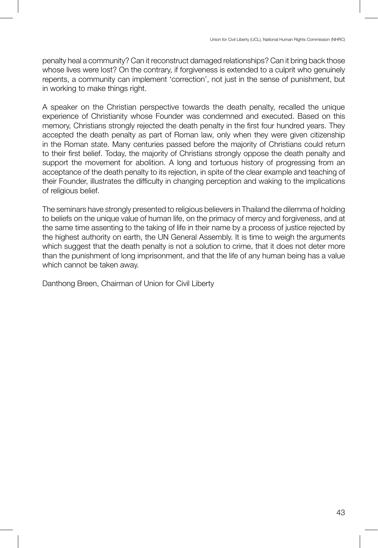penalty heal a community? Can it reconstruct damaged relationships? Can it bring back those whose lives were lost? On the contrary, if forgiveness is extended to a culprit who genuinely repents, a community can implement 'correction', not just in the sense of punishment, but in working to make things right.

A speaker on the Christian perspective towards the death penalty, recalled the unique experience of Christianity whose Founder was condemned and executed. Based on this memory, Christians strongly rejected the death penalty in the first four hundred years. They accepted the death penalty as part of Roman law, only when they were given citizenship in the Roman state. Many centuries passed before the majority of Christians could return to their first belief. Today, the majority of Christians strongly oppose the death penalty and support the movement for abolition. A long and tortuous history of progressing from an acceptance of the death penalty to its rejection, in spite of the clear example and teaching of their Founder, illustrates the difficulty in changing perception and waking to the implications of religious belief.

The seminars have strongly presented to religious believers in Thailand the dilemma of holding to beliefs on the unique value of human life, on the primacy of mercy and forgiveness, and at the same time assenting to the taking of life in their name by a process of justice rejected by the highest authority on earth, the UN General Assembly. It is time to weigh the arguments which suggest that the death penalty is not a solution to crime, that it does not deter more than the punishment of long imprisonment, and that the life of any human being has a value which cannot be taken away.

Danthong Breen, Chairman of Union for Civil Liberty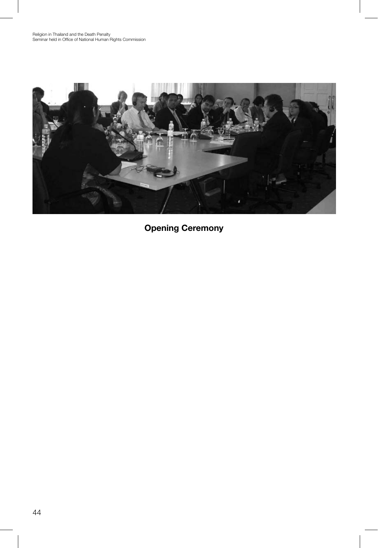Religion in Thailand and the Death Penalty Seminar held in Office of National Human Rights Commission



# **Opening Ceremony**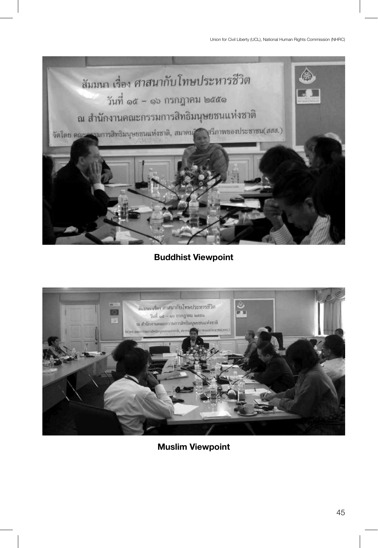Union for Civil Liberty (UCL), National Human Rights Commission (NHRC)



**Buddhist Viewpoint**



**Muslim Viewpoint**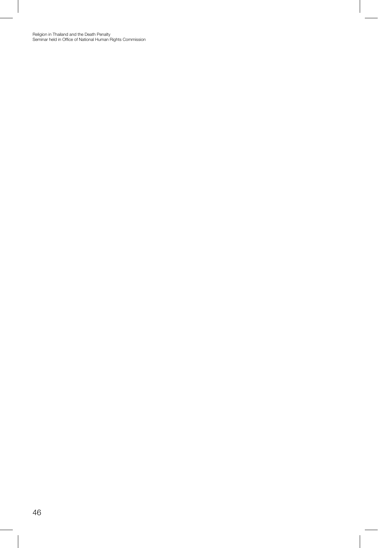Religion in Thailand and the Death Penalty Seminar held in Office of National Human Rights Commission

I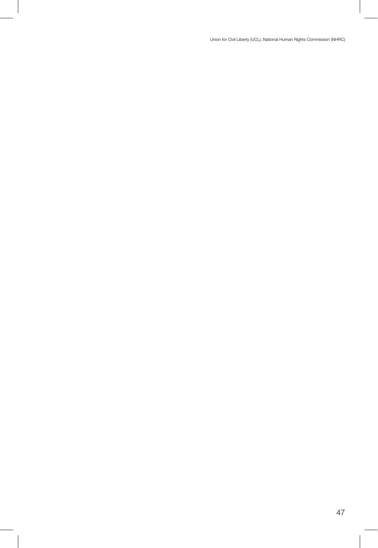Union for Civil Liberty (UCL), National Human Rights Commission (NHRC)